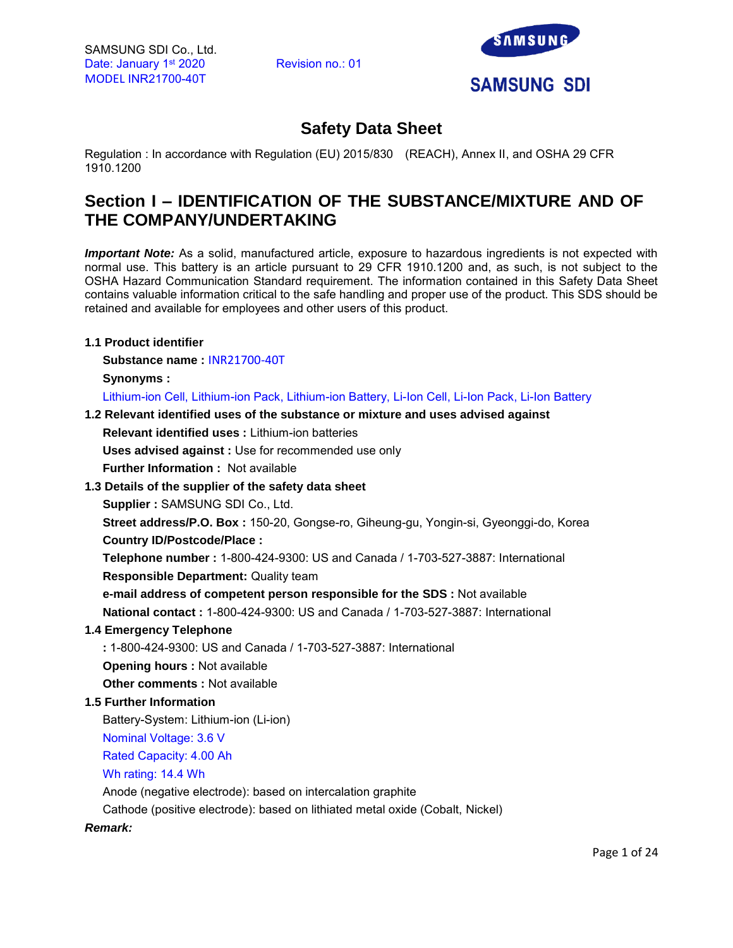

# **Safety Data Sheet**

Regulation : In accordance with Regulation (EU) 2015/830 (REACH), Annex II, and OSHA 29 CFR 1910.1200

# **Section I – IDENTIFICATION OF THE SUBSTANCE/MIXTURE AND OF THE COMPANY/UNDERTAKING**

*Important Note:* As a solid, manufactured article, exposure to hazardous ingredients is not expected with normal use. This battery is an article pursuant to 29 CFR 1910.1200 and, as such, is not subject to the OSHA Hazard Communication Standard requirement. The information contained in this Safety Data Sheet contains valuable information critical to the safe handling and proper use of the product. This SDS should be retained and available for employees and other users of this product.

## **1.1 Product identifier**

**Substance name :** INR21700-40T

**Synonyms :** 

Lithium-ion Cell, Lithium-ion Pack, Lithium-ion Battery, Li-Ion Cell, Li-Ion Pack, Li-Ion Battery

## **1.2 Relevant identified uses of the substance or mixture and uses advised against**

**Relevant identified uses :** Lithium-ion batteries

**Uses advised against :** Use for recommended use only

**Further Information :** Not available

# **1.3 Details of the supplier of the safety data sheet**

**Supplier :** SAMSUNG SDI Co., Ltd.

**Street address/P.O. Box :** 150-20, Gongse-ro, Giheung-gu, Yongin-si, Gyeonggi-do, Korea **Country ID/Postcode/Place :** 

**Telephone number :** 1-800-424-9300: US and Canada / 1-703-527-3887: International **Responsible Department:** Quality team

**e-mail address of competent person responsible for the SDS :** Not available

**National contact :** 1-800-424-9300: US and Canada / 1-703-527-3887: International

# **1.4 Emergency Telephone**

**:** 1-800-424-9300: US and Canada / 1-703-527-3887: International **Opening hours :** Not available

**Other comments :** Not available

# **1.5 Further Information**

Battery-System: Lithium-ion (Li-ion)

Nominal Voltage: 3.6 V

Rated Capacity: 4.00 Ah

Wh rating: 14.4 Wh

Anode (negative electrode): based on intercalation graphite

Cathode (positive electrode): based on lithiated metal oxide (Cobalt, Nickel)

## *Remark:*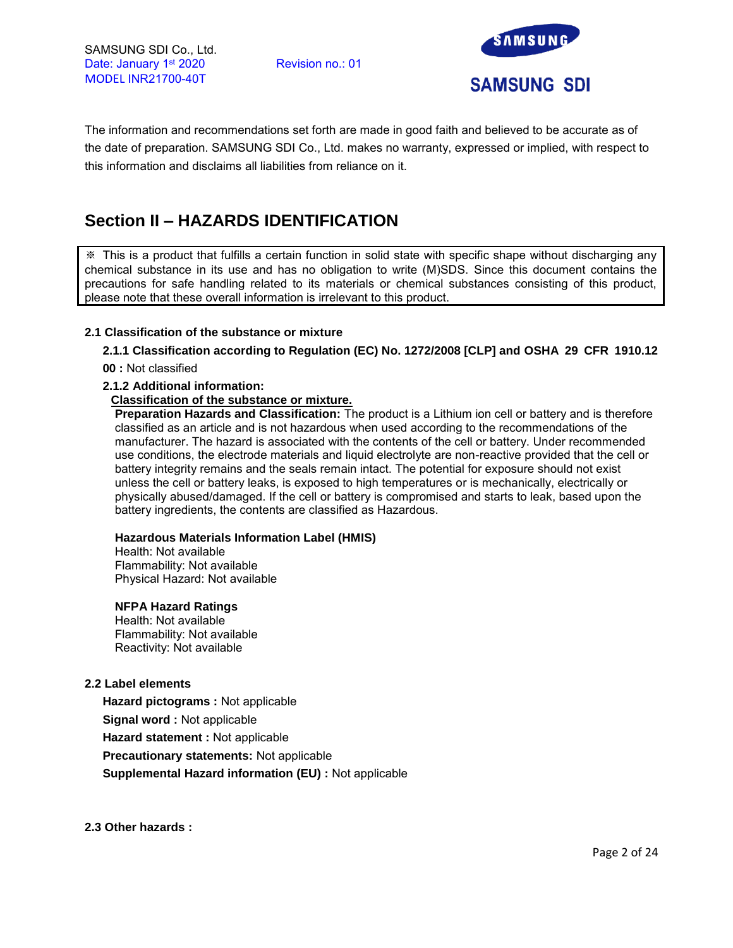

The information and recommendations set forth are made in good faith and believed to be accurate as of the date of preparation. SAMSUNG SDI Co., Ltd. makes no warranty, expressed or implied, with respect to this information and disclaims all liabilities from reliance on it.

# **Section II – HAZARDS IDENTIFICATION**

※ This is a product that fulfills a certain function in solid state with specific shape without discharging any chemical substance in its use and has no obligation to write (M)SDS. Since this document contains the precautions for safe handling related to its materials or chemical substances consisting of this product, please note that these overall information is irrelevant to this product.

## **2.1 Classification of the substance or mixture**

# **2.1.1 Classification according to Regulation (EC) No. 1272/2008 [CLP] and OSHA 29 CFR 1910.12**

**00 :** Not classified

## **2.1.2 Additional information:**

## **Classification of the substance or mixture.**

**Preparation Hazards and Classification:** The product is a Lithium ion cell or battery and is therefore classified as an article and is not hazardous when used according to the recommendations of the manufacturer. The hazard is associated with the contents of the cell or battery. Under recommended use conditions, the electrode materials and liquid electrolyte are non-reactive provided that the cell or battery integrity remains and the seals remain intact. The potential for exposure should not exist unless the cell or battery leaks, is exposed to high temperatures or is mechanically, electrically or physically abused/damaged. If the cell or battery is compromised and starts to leak, based upon the battery ingredients, the contents are classified as Hazardous.

## **Hazardous Materials Information Label (HMIS)**

Health: Not available Flammability: Not available Physical Hazard: Not available

## **NFPA Hazard Ratings**

Health: Not available Flammability: Not available Reactivity: Not available

## **2.2 Label elements**

**Hazard pictograms :** Not applicable **Signal word :** Not applicable **Hazard statement :** Not applicable **Precautionary statements:** Not applicable **Supplemental Hazard information (EU) :** Not applicable

**2.3 Other hazards :**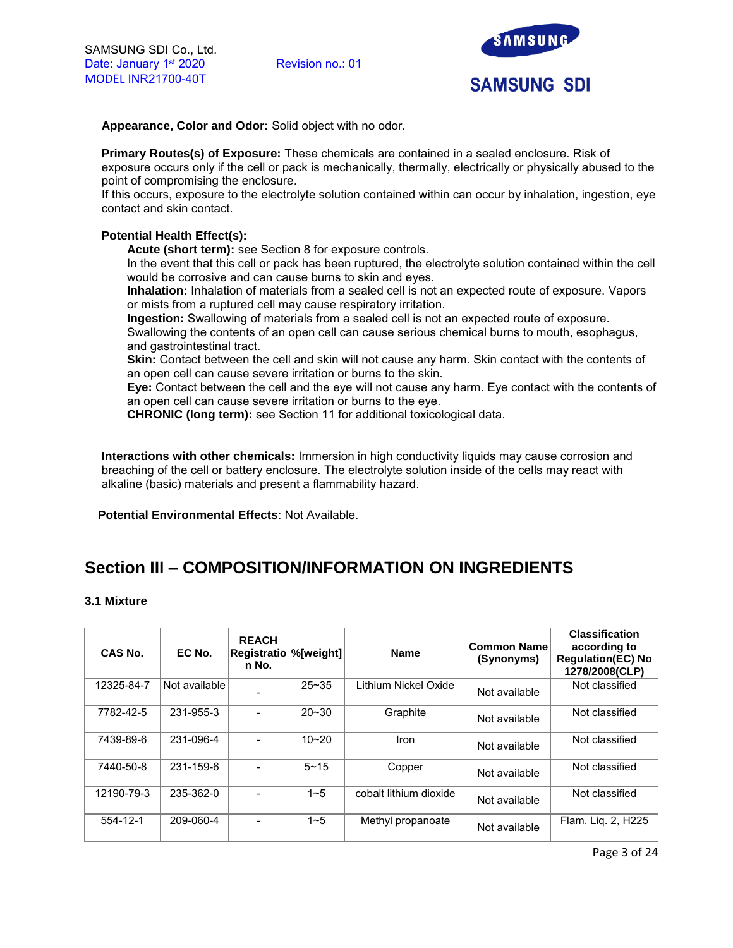

**Appearance, Color and Odor:** Solid object with no odor.

**Primary Routes(s) of Exposure:** These chemicals are contained in a sealed enclosure. Risk of exposure occurs only if the cell or pack is mechanically, thermally, electrically or physically abused to the point of compromising the enclosure.

If this occurs, exposure to the electrolyte solution contained within can occur by inhalation, ingestion, eye contact and skin contact.

# **Potential Health Effect(s):**

**Acute (short term):** see Section 8 for exposure controls.

In the event that this cell or pack has been ruptured, the electrolyte solution contained within the cell would be corrosive and can cause burns to skin and eyes.

**Inhalation:** Inhalation of materials from a sealed cell is not an expected route of exposure. Vapors or mists from a ruptured cell may cause respiratory irritation.

**Ingestion:** Swallowing of materials from a sealed cell is not an expected route of exposure.

Swallowing the contents of an open cell can cause serious chemical burns to mouth, esophagus, and gastrointestinal tract.

**Skin:** Contact between the cell and skin will not cause any harm. Skin contact with the contents of an open cell can cause severe irritation or burns to the skin.

**Eye:** Contact between the cell and the eye will not cause any harm. Eye contact with the contents of an open cell can cause severe irritation or burns to the eye.

**CHRONIC (long term):** see Section 11 for additional toxicological data.

**Interactions with other chemicals:** Immersion in high conductivity liquids may cause corrosion and breaching of the cell or battery enclosure. The electrolyte solution inside of the cells may react with alkaline (basic) materials and present a flammability hazard.

**Potential Environmental Effects**: Not Available.

# **Section III – COMPOSITION/INFORMATION ON INGREDIENTS**

## **3.1 Mixture**

| CAS No.    | EC No.        | <b>REACH</b><br>Registratio<br>n No. | %[weight] | <b>Name</b>            | <b>Common Name</b><br>(Synonyms) | <b>Classification</b><br>according to<br><b>Regulation(EC) No</b><br>1278/2008(CLP) |
|------------|---------------|--------------------------------------|-----------|------------------------|----------------------------------|-------------------------------------------------------------------------------------|
| 12325-84-7 | Not available |                                      | $25 - 35$ | Lithium Nickel Oxide   | Not available                    | Not classified                                                                      |
| 7782-42-5  | 231-955-3     |                                      | $20 - 30$ | Graphite               | Not available                    | Not classified                                                                      |
| 7439-89-6  | 231-096-4     |                                      | $10 - 20$ | Iron                   | Not available                    | Not classified                                                                      |
| 7440-50-8  | 231-159-6     |                                      | $5 - 15$  | Copper                 | Not available                    | Not classified                                                                      |
| 12190-79-3 | 235-362-0     |                                      | $1 - 5$   | cobalt lithium dioxide | Not available                    | Not classified                                                                      |
| 554-12-1   | 209-060-4     |                                      | $1 - 5$   | Methyl propanoate      | Not available                    | Flam. Lig. 2, H225                                                                  |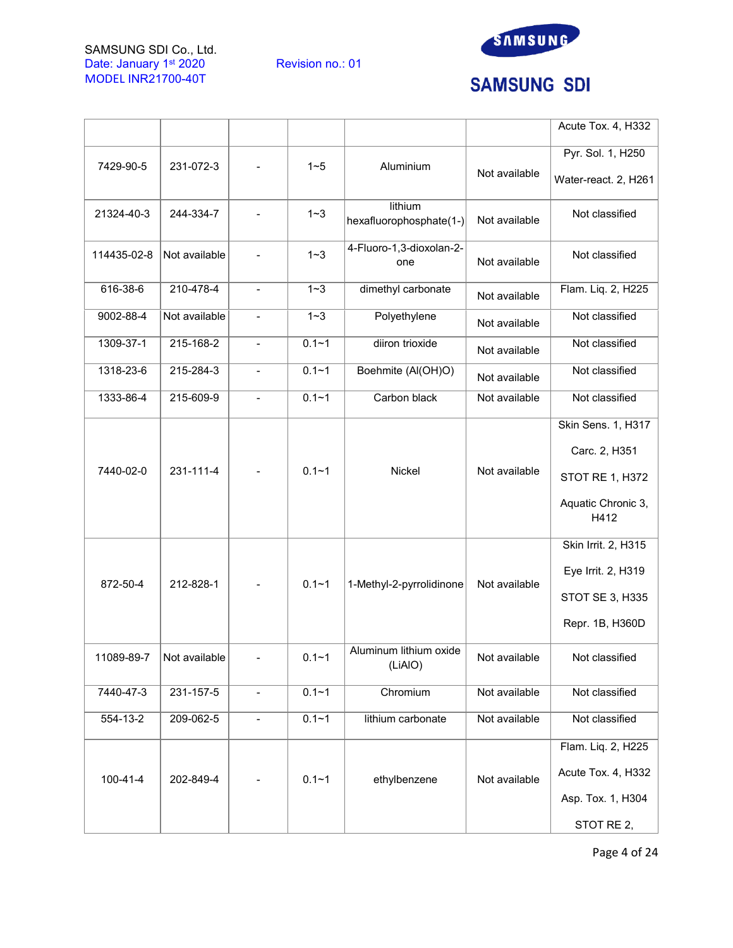

# **SAMSUNG SDI**

|                |               |                          |           |                                    |               | Acute Tox. 4, H332                                                                   |
|----------------|---------------|--------------------------|-----------|------------------------------------|---------------|--------------------------------------------------------------------------------------|
| 7429-90-5      | 231-072-3     |                          | $1 - 5$   | Aluminium                          | Not available | Pyr. Sol. 1, H250<br>Water-react. 2, H261                                            |
| 21324-40-3     | 244-334-7     |                          | $1 - 3$   | lithium<br>hexafluorophosphate(1-) | Not available | Not classified                                                                       |
| 114435-02-8    | Not available |                          | $1 - 3$   | 4-Fluoro-1,3-dioxolan-2-<br>one    | Not available | Not classified                                                                       |
| 616-38-6       | 210-478-4     | $\blacksquare$           | $1 - 3$   | dimethyl carbonate                 | Not available | Flam. Liq. 2, H225                                                                   |
| 9002-88-4      | Not available | $\overline{\phantom{a}}$ | $1 - 3$   | Polyethylene                       | Not available | Not classified                                                                       |
| 1309-37-1      | 215-168-2     | $\overline{\phantom{a}}$ | $0.1 - 1$ | diiron trioxide                    | Not available | Not classified                                                                       |
| 1318-23-6      | 215-284-3     | $\overline{\phantom{a}}$ | $0.1 - 1$ | Boehmite (Al(OH)O)                 | Not available | Not classified                                                                       |
| 1333-86-4      | 215-609-9     |                          | $0.1 - 1$ | Carbon black                       | Not available | Not classified                                                                       |
| 7440-02-0      | 231-111-4     |                          | $0.1 - 1$ | Nickel                             | Not available | Skin Sens. 1, H317<br>Carc. 2, H351<br>STOT RE 1, H372<br>Aquatic Chronic 3,<br>H412 |
| 872-50-4       | 212-828-1     |                          | $0.1 - 1$ | 1-Methyl-2-pyrrolidinone           | Not available | Skin Irrit. 2, H315<br>Eye Irrit. 2, H319<br>STOT SE 3, H335<br>Repr. 1B, H360D      |
| 11089-89-7     | Not available |                          | $0.1 - 1$ | Aluminum lithium oxide<br>(LiAIO)  | Not available | Not classified                                                                       |
| 7440-47-3      | 231-157-5     |                          | $0.1 - 1$ | Chromium                           | Not available | Not classified                                                                       |
| 554-13-2       | 209-062-5     | $\blacksquare$           | $0.1 - 1$ | lithium carbonate                  | Not available | Not classified                                                                       |
| $100 - 41 - 4$ | 202-849-4     |                          | $0.1 - 1$ | ethylbenzene                       | Not available | Flam. Liq. 2, H225<br>Acute Tox. 4, H332<br>Asp. Tox. 1, H304<br>STOT RE 2,          |

Page 4 of 24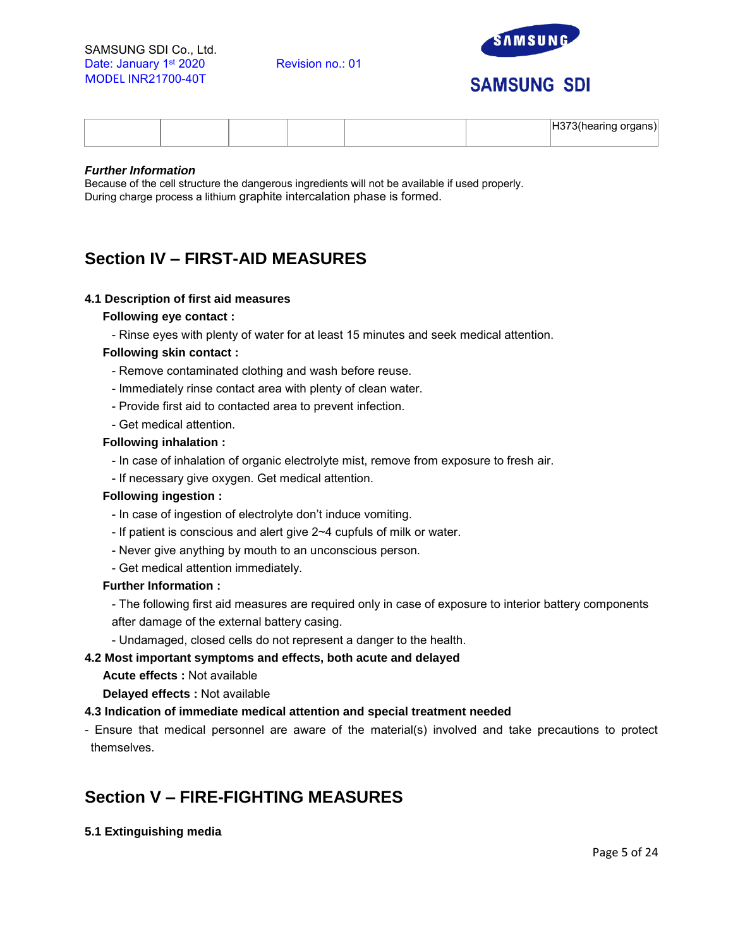

# **SAMSUNG SDI**

|  |  |  | $100 - 11$<br>- --- --<br>ordans<br>. |
|--|--|--|---------------------------------------|
|  |  |  |                                       |

## *Further Information*

Because of the cell structure the dangerous ingredients will not be available if used properly. During charge process a lithium graphite intercalation phase is formed.

# **Section IV – FIRST-AID MEASURES**

## **4.1 Description of first aid measures**

## **Following eye contact :**

- Rinse eyes with plenty of water for at least 15 minutes and seek medical attention.

## **Following skin contact :**

- Remove contaminated clothing and wash before reuse.
- Immediately rinse contact area with plenty of clean water.
- Provide first aid to contacted area to prevent infection.
- Get medical attention.

## **Following inhalation :**

- In case of inhalation of organic electrolyte mist, remove from exposure to fresh air.
- If necessary give oxygen. Get medical attention.

## **Following ingestion :**

- In case of ingestion of electrolyte don't induce vomiting.
- If patient is conscious and alert give 2~4 cupfuls of milk or water.
- Never give anything by mouth to an unconscious person.
- Get medical attention immediately.

## **Further Information :**

- The following first aid measures are required only in case of exposure to interior battery components after damage of the external battery casing.

- Undamaged, closed cells do not represent a danger to the health.

## **4.2 Most important symptoms and effects, both acute and delayed**

**Acute effects :** Not available

**Delayed effects :** Not available

# **4.3 Indication of immediate medical attention and special treatment needed**

- Ensure that medical personnel are aware of the material(s) involved and take precautions to protect themselves.

# **Section V – FIRE-FIGHTING MEASURES**

**5.1 Extinguishing media**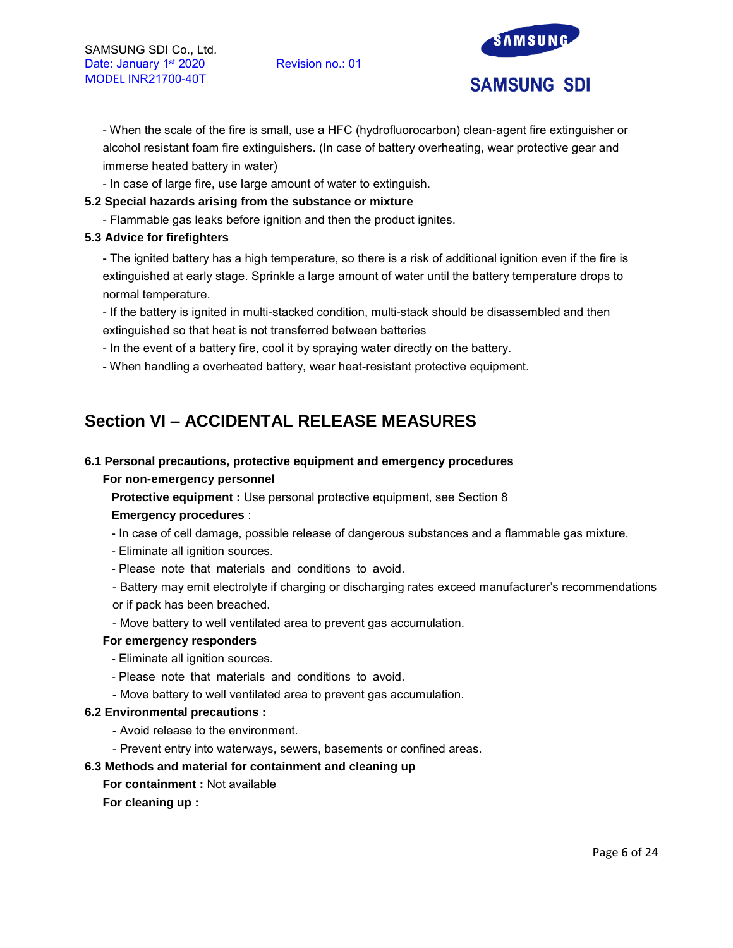

- When the scale of the fire is small, use a HFC (hydrofluorocarbon) clean-agent fire extinguisher or alcohol resistant foam fire extinguishers. (In case of battery overheating, wear protective gear and immerse heated battery in water)

- In case of large fire, use large amount of water to extinguish.

# **5.2 Special hazards arising from the substance or mixture**

- Flammable gas leaks before ignition and then the product ignites.

## **5.3 Advice for firefighters**

- The ignited battery has a high temperature, so there is a risk of additional ignition even if the fire is extinguished at early stage. Sprinkle a large amount of water until the battery temperature drops to normal temperature.

- If the battery is ignited in multi-stacked condition, multi-stack should be disassembled and then extinguished so that heat is not transferred between batteries

- In the event of a battery fire, cool it by spraying water directly on the battery.

- When handling a overheated battery, wear heat-resistant protective equipment.

# **Section VI – ACCIDENTAL RELEASE MEASURES**

# **6.1 Personal precautions, protective equipment and emergency procedures**

## **For non-emergency personnel**

**Protective equipment :** Use personal protective equipment, see Section 8

## **Emergency procedures** :

- In case of cell damage, possible release of dangerous substances and a flammable gas mixture.
- Eliminate all ignition sources.
- Please note that materials and conditions to avoid.
- Battery may emit electrolyte if charging or discharging rates exceed manufacturer's recommendations or if pack has been breached.
- Move battery to well ventilated area to prevent gas accumulation.

## **For emergency responders**

- Eliminate all ignition sources.
- Please note that materials and conditions to avoid.
- Move battery to well ventilated area to prevent gas accumulation.

## **6.2 Environmental precautions :**

- Avoid release to the environment.
- Prevent entry into waterways, sewers, basements or confined areas.

# **6.3 Methods and material for containment and cleaning up**

## **For containment :** Not available

**For cleaning up :**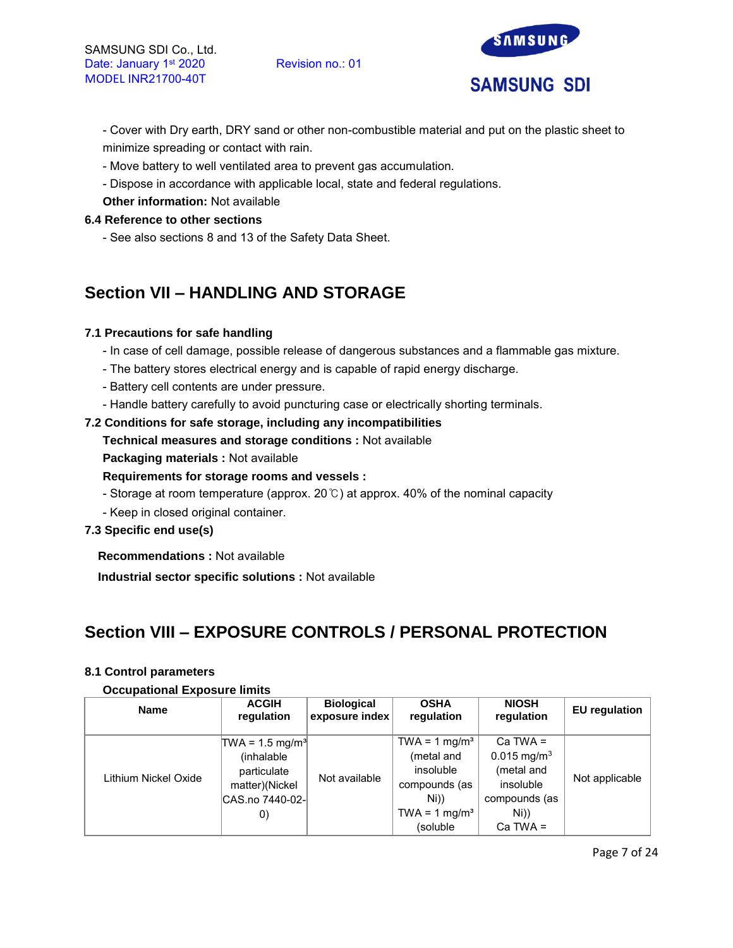

- Cover with Dry earth, DRY sand or other non-combustible material and put on the plastic sheet to minimize spreading or contact with rain.

- Move battery to well ventilated area to prevent gas accumulation.
- Dispose in accordance with applicable local, state and federal regulations.
- **Other information:** Not available

# **6.4 Reference to other sections**

- See also sections 8 and 13 of the Safety Data Sheet.

# **Section VII – HANDLING AND STORAGE**

# **7.1 Precautions for safe handling**

- In case of cell damage, possible release of dangerous substances and a flammable gas mixture.
- The battery stores electrical energy and is capable of rapid energy discharge.
- Battery cell contents are under pressure.
- Handle battery carefully to avoid puncturing case or electrically shorting terminals.

## **7.2 Conditions for safe storage, including any incompatibilities**

- **Technical measures and storage conditions :** Not available
- **Packaging materials :** Not available

# **Requirements for storage rooms and vessels :**

- Storage at room temperature (approx. 20℃) at approx. 40% of the nominal capacity
- Keep in closed original container.

# **7.3 Specific end use(s)**

**Recommendations :** Not available

**Industrial sector specific solutions :** Not available

# **Section VIII – EXPOSURE CONTROLS / PERSONAL PROTECTION**

## **8.1 Control parameters**

## **Occupational Exposure limits**

| <b>Name</b>          | <b>ACGIH</b><br>regulation                                                                  | <b>Biological</b><br>exposure index | <b>OSHA</b><br>regulation                                                                                 | <b>NIOSH</b><br>regulation                                                                  | <b>EU</b> regulation |  |  |
|----------------------|---------------------------------------------------------------------------------------------|-------------------------------------|-----------------------------------------------------------------------------------------------------------|---------------------------------------------------------------------------------------------|----------------------|--|--|
| Lithium Nickel Oxide | $TWA = 1.5 mg/m3$<br>(inhalable<br>particulate<br>matter)(Nickel<br> CAS.no 7440-02- <br>O) | Not available                       | TWA = $1 \text{ mg/m}^3$<br>(metal and<br>insoluble<br>compounds (as<br>Ni))<br>TWA = 1 mg/m <sup>3</sup> | $Ca$ TWA =<br>$0.015$ mg/m <sup>3</sup><br>(metal and<br>insoluble<br>compounds (as<br>Ni)) | Not applicable       |  |  |
|                      |                                                                                             |                                     | (soluble)                                                                                                 | $Ca$ TWA =                                                                                  |                      |  |  |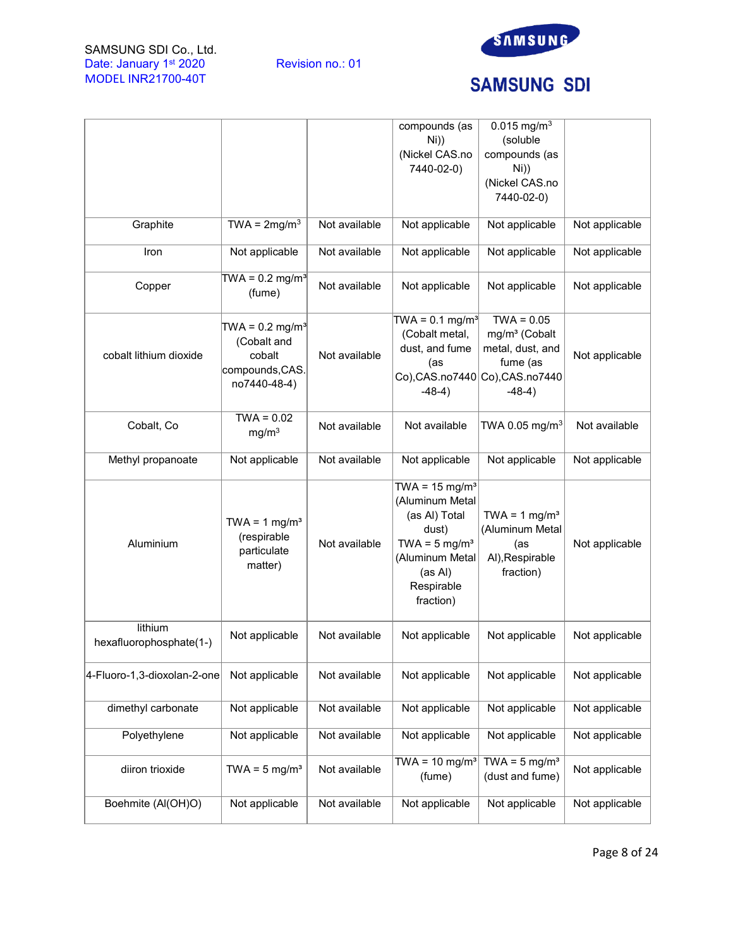



# **SAMSUNG SDI**

|                                    |                                                                   |               | compounds (as                                                                                                                                               | $0.015$ mg/m <sup>3</sup>                                                             |                |
|------------------------------------|-------------------------------------------------------------------|---------------|-------------------------------------------------------------------------------------------------------------------------------------------------------------|---------------------------------------------------------------------------------------|----------------|
|                                    |                                                                   |               | $Ni$ )                                                                                                                                                      | (soluble                                                                              |                |
|                                    |                                                                   |               | (Nickel CAS.no                                                                                                                                              | compounds (as                                                                         |                |
|                                    |                                                                   |               | 7440-02-0)                                                                                                                                                  | $Ni$ )                                                                                |                |
|                                    |                                                                   |               |                                                                                                                                                             | (Nickel CAS.no                                                                        |                |
|                                    |                                                                   |               |                                                                                                                                                             | 7440-02-0)                                                                            |                |
|                                    |                                                                   |               |                                                                                                                                                             |                                                                                       |                |
| Graphite                           | TWA = $2mg/m3$                                                    | Not available | Not applicable                                                                                                                                              | Not applicable                                                                        | Not applicable |
| Iron                               | Not applicable                                                    | Not available | Not applicable                                                                                                                                              | Not applicable                                                                        | Not applicable |
| Copper                             | TWA = $0.2$ mg/m <sup>3</sup><br>(fume)                           | Not available | Not applicable                                                                                                                                              | Not applicable                                                                        | Not applicable |
|                                    |                                                                   |               | TWA = $0.1$ mg/m <sup>3</sup>                                                                                                                               | $TWA = 0.05$                                                                          |                |
|                                    | TWA = $0.2$ mg/m <sup>3</sup>                                     |               | (Cobalt metal,                                                                                                                                              | mg/m <sup>3</sup> (Cobalt                                                             |                |
|                                    | (Cobalt and<br>cobalt                                             | Not available | dust, and fume                                                                                                                                              | metal, dust, and                                                                      |                |
| cobalt lithium dioxide             |                                                                   |               | (as                                                                                                                                                         | fume (as                                                                              | Not applicable |
|                                    | compounds, CAS.                                                   |               |                                                                                                                                                             | Co),CAS.no7440 Co),CAS.no7440                                                         |                |
|                                    | no7440-48-4)                                                      |               | $-48-4)$                                                                                                                                                    | $-48-4)$                                                                              |                |
|                                    |                                                                   |               |                                                                                                                                                             |                                                                                       |                |
| Cobalt, Co                         | $TWA = 0.02$<br>mg/m <sup>3</sup>                                 | Not available | Not available                                                                                                                                               | TWA 0.05 mg/m <sup>3</sup>                                                            | Not available  |
| Methyl propanoate                  | Not applicable                                                    | Not available | Not applicable                                                                                                                                              | Not applicable                                                                        | Not applicable |
| Aluminium                          | TWA = $1 \text{ mg/m}^3$<br>(respirable<br>particulate<br>matter) | Not available | TWA = $15 \text{ mg/m}^3$<br>(Aluminum Metal<br>(as AI) Total<br>dust)<br>TWA = $5 \text{ mg/m}^3$<br>(Aluminum Metal<br>(as Al)<br>Respirable<br>fraction) | TWA = $1$ mg/m <sup>3</sup><br>(Aluminum Metal<br>(as<br>Al), Respirable<br>fraction) | Not applicable |
| lithium<br>hexafluorophosphate(1-) | Not applicable                                                    | Not available | Not applicable                                                                                                                                              | Not applicable                                                                        | Not applicable |
| 4-Fluoro-1,3-dioxolan-2-one        | Not applicable                                                    | Not available | Not applicable                                                                                                                                              | Not applicable                                                                        | Not applicable |
| dimethyl carbonate                 | Not applicable                                                    | Not available | Not applicable                                                                                                                                              | Not applicable                                                                        | Not applicable |
| Polyethylene                       | Not applicable                                                    | Not available | Not applicable                                                                                                                                              | Not applicable                                                                        | Not applicable |
| diiron trioxide                    | TWA = $5 \text{ mg/m}^3$                                          | Not available | TWA = $10 \text{ mg/m}^3$<br>(fume)                                                                                                                         | TWA = $5 \text{ mg/m}^3$<br>(dust and fume)                                           | Not applicable |
| Boehmite (Al(OH)O)                 | Not applicable                                                    | Not available | Not applicable                                                                                                                                              | Not applicable                                                                        | Not applicable |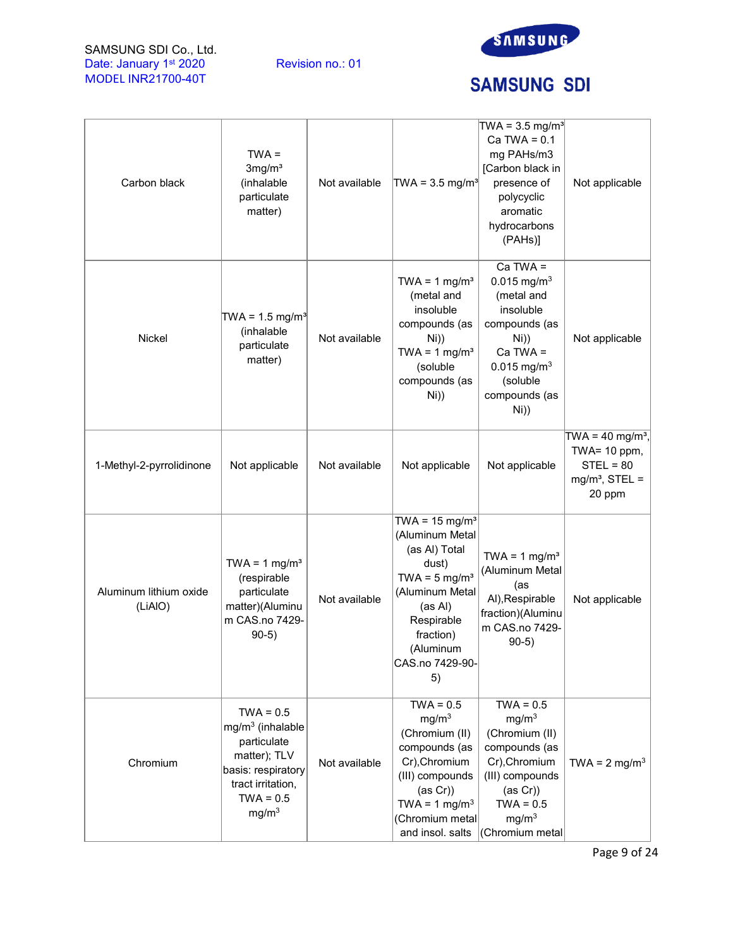

# **SAMSUNG SDI**

| Carbon black                      | $TWA =$<br>3mg/m <sup>3</sup><br>(inhalable<br>particulate<br>matter)                                                                           | Not available | TWA = $3.5 \text{ mg/m}^3$                                                                                                                                                                        | $TWA = 3.5 mg/m3$<br>Ca TWA = $0.1$<br>mg PAHs/m3<br>[Carbon black in<br>presence of<br>polycyclic<br>aromatic<br>hydrocarbons<br>(PAHs)]                                   | Not applicable                                                                           |
|-----------------------------------|-------------------------------------------------------------------------------------------------------------------------------------------------|---------------|---------------------------------------------------------------------------------------------------------------------------------------------------------------------------------------------------|-----------------------------------------------------------------------------------------------------------------------------------------------------------------------------|------------------------------------------------------------------------------------------|
| <b>Nickel</b>                     | TWA = $1.5 \text{ mg/m}^3$<br>(inhalable<br>particulate<br>matter)                                                                              | Not available | TWA = $1 \text{ mg/m}^3$<br>(metal and<br>insoluble<br>compounds (as<br>Ni))<br>TWA = $1 \text{ mg/m}^3$<br>(soluble<br>compounds (as<br>Ni))                                                     | $Ca TWA =$<br>$0.015$ mg/m <sup>3</sup><br>(metal and<br>insoluble<br>compounds (as<br>Ni))<br>$Ca$ TWA =<br>$0.015$ mg/m <sup>3</sup><br>(soluble<br>compounds (as<br>Ni)) | Not applicable                                                                           |
| 1-Methyl-2-pyrrolidinone          | Not applicable                                                                                                                                  | Not available | Not applicable                                                                                                                                                                                    | Not applicable                                                                                                                                                              | TWA = $40 \text{ mg/m}^3$ ,<br>TWA= 10 ppm,<br>$STEL = 80$<br>$mg/m3$ , STEL =<br>20 ppm |
| Aluminum lithium oxide<br>(LiAIO) | TWA = $1 \text{ mg/m}^3$<br>(respirable<br>particulate<br>matter)(Aluminu<br>m CAS.no 7429-<br>$90-5)$                                          | Not available | TWA = $15 \text{ mg/m}^3$<br>(Aluminum Metal<br>(as AI) Total<br>dust)<br>TWA = $5 \text{ mg/m}^3$<br>(Aluminum Metal<br>(as Al)<br>Respirable<br>fraction)<br>(Aluminum<br>CAS.no 7429-90-<br>5) | TWA = $1 \text{ mg/m}^3$<br>(Aluminum Metal<br>(as<br>Al), Respirable<br>fraction)(Aluminu<br>m CAS.no 7429-<br>$90-5)$                                                     | Not applicable                                                                           |
| Chromium                          | $TWA = 0.5$<br>$mg/m3$ (inhalable<br>particulate<br>matter); TLV<br>basis: respiratory<br>tract irritation,<br>$TWA = 0.5$<br>mg/m <sup>3</sup> | Not available | $TWA = 0.5$<br>mg/m <sup>3</sup><br>(Chromium (II)<br>compounds (as<br>Cr), Chromium<br>(III) compounds<br>(as Cr))<br>TWA = $1 \text{ mg/m}^3$<br>(Chromium metal<br>and insol. salts            | $TWA = 0.5$<br>mg/m <sup>3</sup><br>(Chromium (II)<br>compounds (as<br>Cr), Chromium<br>(III) compounds<br>(as Cr))<br>$TWA = 0.5$<br>mg/m <sup>3</sup><br>Chromium metal   | TWA = $2 \text{ mg/m}^3$                                                                 |

Page 9 of 24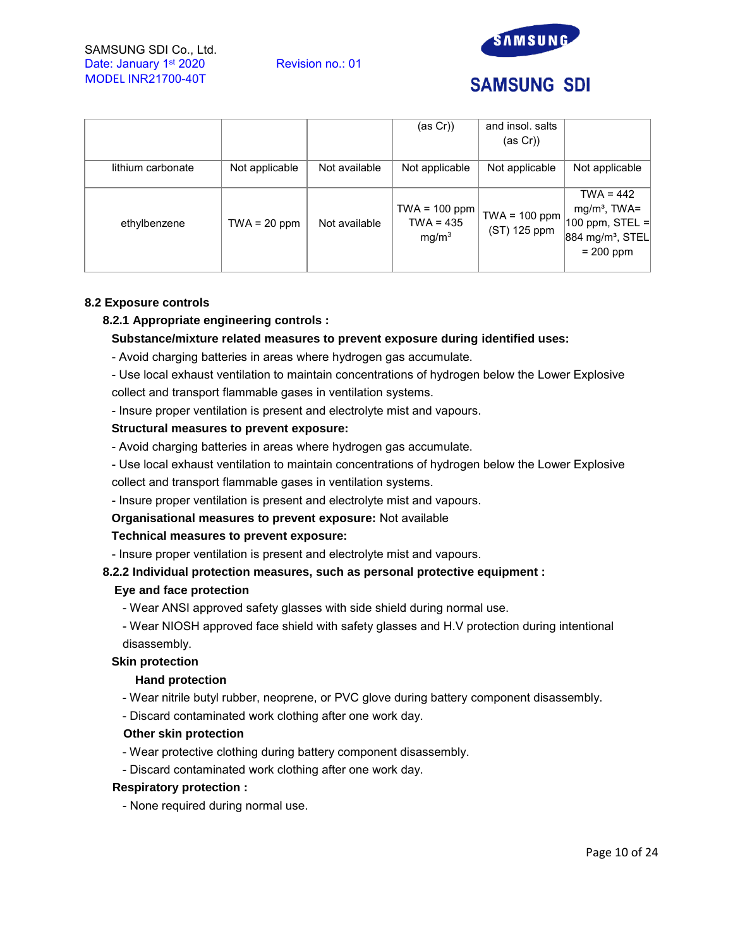



# **SAMSUNG SDI**

|                   |                |               | (as Cr))                                            | and insol. salts<br>(as Cr))    |                                                                                                    |
|-------------------|----------------|---------------|-----------------------------------------------------|---------------------------------|----------------------------------------------------------------------------------------------------|
| lithium carbonate | Not applicable | Not available | Not applicable                                      | Not applicable                  | Not applicable                                                                                     |
| ethylbenzene      | $TWA = 20 ppm$ | Not available | $TWA = 100 ppm$<br>$TWA = 435$<br>mg/m <sup>3</sup> | $TWA = 100 ppm$<br>(ST) 125 ppm | $TWA = 442$<br>$mg/m3$ , TWA=<br>$ 100$ ppm, STEL =<br>884 mg/m <sup>3</sup> , STEL<br>$= 200$ ppm |

## **8.2 Exposure controls**

## **8.2.1 Appropriate engineering controls :**

## **Substance/mixture related measures to prevent exposure during identified uses:**

- Avoid charging batteries in areas where hydrogen gas accumulate.
- Use local exhaust ventilation to maintain concentrations of hydrogen below the Lower Explosive collect and transport flammable gases in ventilation systems.
- Insure proper ventilation is present and electrolyte mist and vapours.

## **Structural measures to prevent exposure:**

- Avoid charging batteries in areas where hydrogen gas accumulate.
- Use local exhaust ventilation to maintain concentrations of hydrogen below the Lower Explosive collect and transport flammable gases in ventilation systems.
- Insure proper ventilation is present and electrolyte mist and vapours.

## **Organisational measures to prevent exposure:** Not available

## **Technical measures to prevent exposure:**

- Insure proper ventilation is present and electrolyte mist and vapours.

# **8.2.2 Individual protection measures, such as personal protective equipment :**

## **Eye and face protection**

- Wear ANSI approved safety glasses with side shield during normal use.

- Wear NIOSH approved face shield with safety glasses and H.V protection during intentional disassembly.

# **Skin protection**

# **Hand protection**

- Wear nitrile butyl rubber, neoprene, or PVC glove during battery component disassembly.
- Discard contaminated work clothing after one work day.

## **Other skin protection**

- Wear protective clothing during battery component disassembly.
- Discard contaminated work clothing after one work day.

## **Respiratory protection :**

- None required during normal use.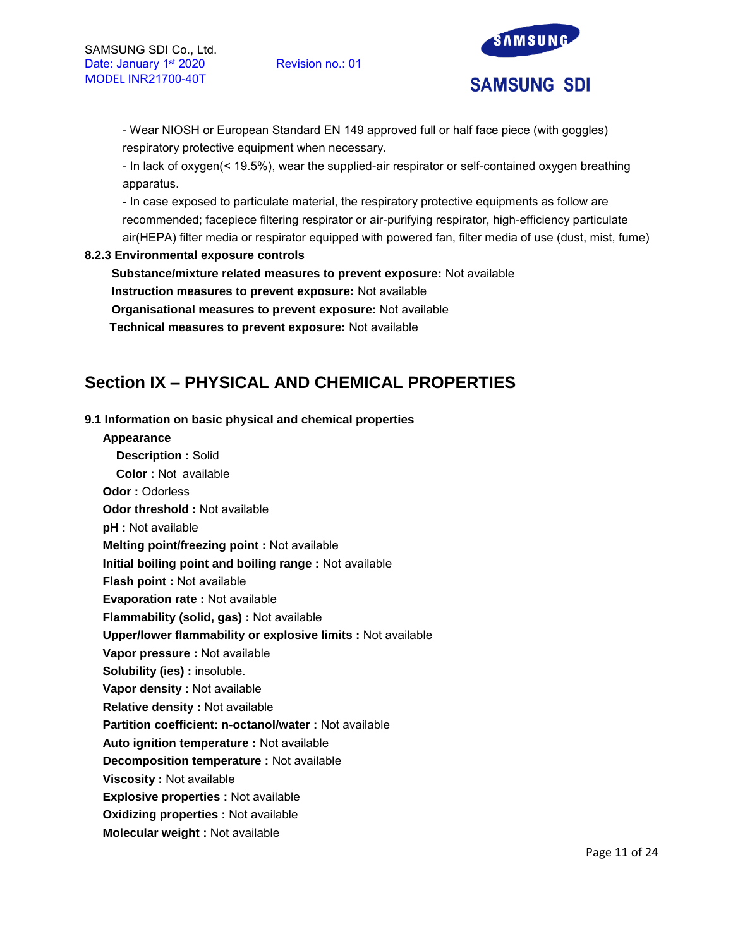

- Wear NIOSH or European Standard EN 149 approved full or half face piece (with goggles) respiratory protective equipment when necessary.

- In lack of oxygen(< 19.5%), wear the supplied-air respirator or self-contained oxygen breathing apparatus.

- In case exposed to particulate material, the respiratory protective equipments as follow are recommended; facepiece filtering respirator or air-purifying respirator, high-efficiency particulate air(HEPA) filter media or respirator equipped with powered fan, filter media of use (dust, mist, fume)

## **8.2.3 Environmental exposure controls**

**Substance/mixture related measures to prevent exposure:** Not available **Instruction measures to prevent exposure:** Not available **Organisational measures to prevent exposure:** Not available

**Technical measures to prevent exposure:** Not available

# **Section IX – PHYSICAL AND CHEMICAL PROPERTIES**

# **9.1 Information on basic physical and chemical properties**

#### **Appearance**

**Description :** Solid **Color :** Not available **Odor :** Odorless **Odor threshold :** Not available **pH :** Not available **Melting point/freezing point :** Not available **Initial boiling point and boiling range :** Not available **Flash point :** Not available **Evaporation rate :** Not available **Flammability (solid, gas) :** Not available **Upper/lower flammability or explosive limits :** Not available **Vapor pressure :** Not available **Solubility (ies) : insoluble. Vapor density :** Not available **Relative density :** Not available **Partition coefficient: n-octanol/water :** Not available **Auto ignition temperature :** Not available **Decomposition temperature :** Not available **Viscosity :** Not available **Explosive properties :** Not available **Oxidizing properties :** Not available **Molecular weight :** Not available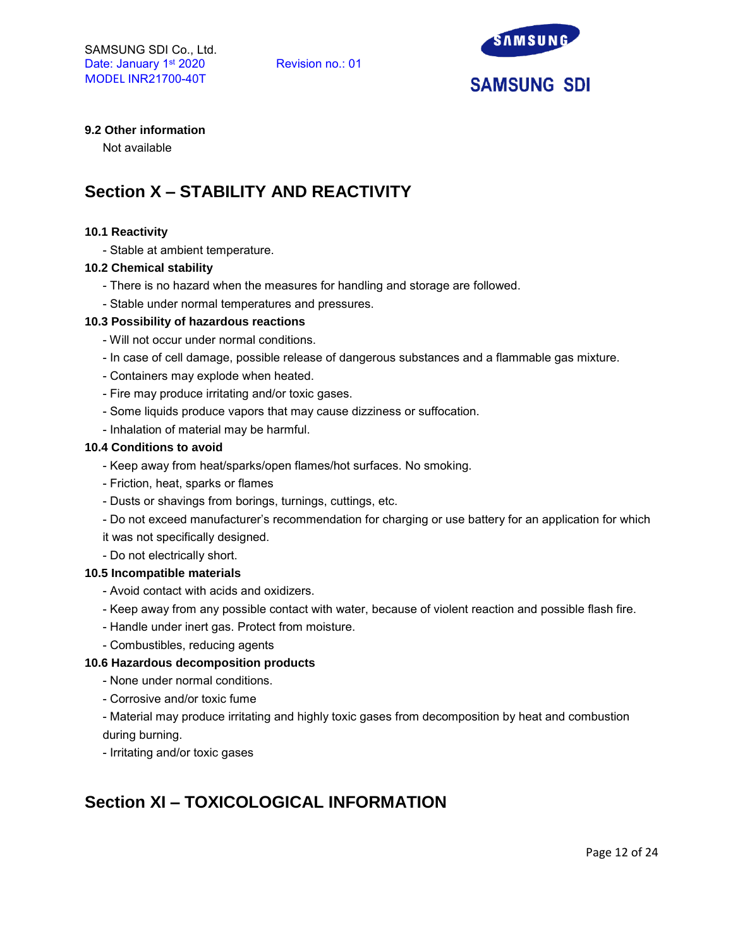

# **9.2 Other information**

Not available

# **Section X – STABILITY AND REACTIVITY**

#### **10.1 Reactivity**

- Stable at ambient temperature.

#### **10.2 Chemical stability**

- There is no hazard when the measures for handling and storage are followed.
- Stable under normal temperatures and pressures.

#### **10.3 Possibility of hazardous reactions**

- Will not occur under normal conditions.
- In case of cell damage, possible release of dangerous substances and a flammable gas mixture.
- Containers may explode when heated.
- Fire may produce irritating and/or toxic gases.
- Some liquids produce vapors that may cause dizziness or suffocation.
- Inhalation of material may be harmful.

#### **10.4 Conditions to avoid**

- Keep away from heat/sparks/open flames/hot surfaces. No smoking.
- Friction, heat, sparks or flames
- Dusts or shavings from borings, turnings, cuttings, etc.
- Do not exceed manufacturer's recommendation for charging or use battery for an application for which
- it was not specifically designed.
- Do not electrically short.

## **10.5 Incompatible materials**

- Avoid contact with acids and oxidizers.
- Keep away from any possible contact with water, because of violent reaction and possible flash fire.
- Handle under inert gas. Protect from moisture.
- Combustibles, reducing agents

## **10.6 Hazardous decomposition products**

- None under normal conditions.
- Corrosive and/or toxic fume
- Material may produce irritating and highly toxic gases from decomposition by heat and combustion during burning.
- Irritating and/or toxic gases

# **Section XI – TOXICOLOGICAL INFORMATION**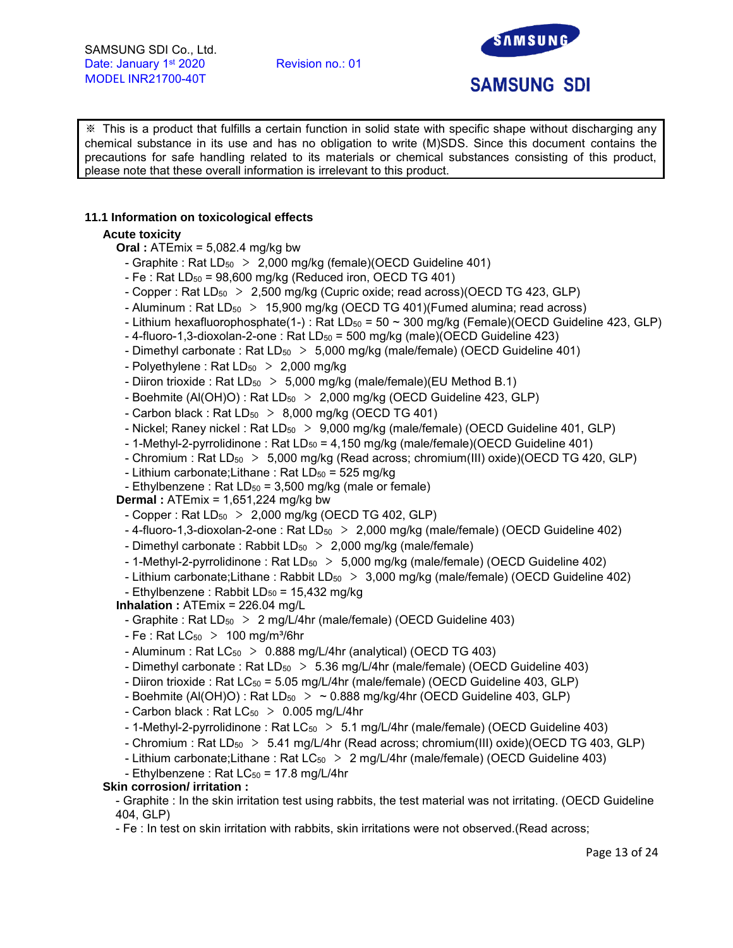

# **SAMSUNG SDI**

※ This is a product that fulfills a certain function in solid state with specific shape without discharging any chemical substance in its use and has no obligation to write (M)SDS. Since this document contains the precautions for safe handling related to its materials or chemical substances consisting of this product, please note that these overall information is irrelevant to this product.

# **11.1 Information on toxicological effects**

# **Acute toxicity**

**Oral :** ATEmix = 5,082.4 mg/kg bw

- Graphite : Rat  $LD_{50} > 2,000$  mg/kg (female)(OECD Guideline 401)
- Fe : Rat  $LD_{50} = 98,600$  mg/kg (Reduced iron, OECD TG 401)
- Copper : Rat LD<sub>50</sub> > 2,500 mg/kg (Cupric oxide; read across)(OECD TG 423, GLP)
- Aluminum : Rat  $LD_{50}$  > 15,900 mg/kg (OECD TG 401)(Fumed alumina; read across)
- Lithium hexafluorophosphate(1-) : Rat LD<sub>50</sub> = 50  $\sim$  300 mg/kg (Female)(OECD Guideline 423, GLP)
- $-$  4-fluoro-1,3-dioxolan-2-one : Rat LD<sub>50</sub> = 500 mg/kg (male)(OECD Guideline 423)
- Dimethyl carbonate : Rat  $LD_{50} > 5,000$  mg/kg (male/female) (OECD Guideline 401)
- Polyethylene : Rat  $LD_{50}$  > 2,000 mg/kg
- Diiron trioxide : Rat  $LD_{50} > 5,000$  mg/kg (male/female)(EU Method B.1)
- Boehmite (Al(OH)O) : Rat  $LD_{50} > 2,000$  mg/kg (OECD Guideline 423, GLP)
- Carbon black : Rat  $LD_{50} > 8,000$  mg/kg (OECD TG 401)
- Nickel; Raney nickel : Rat  $LD_{50} > 9,000$  mg/kg (male/female) (OECD Guideline 401, GLP)
- 1-Methyl-2-pyrrolidinone : Rat  $LD_{50} = 4.150$  mg/kg (male/female)(OECD Guideline 401)
- Chromium : Rat LD<sub>50</sub> > 5,000 mg/kg (Read across; chromium(III) oxide)(OECD TG 420, GLP)
- Lithium carbonate; Lithane: Rat  $LD_{50} = 525$  mg/kg
- Ethylbenzene : Rat LD $_{50}$  = 3,500 mg/kg (male or female)

**Dermal :** ATEmix = 1,651,224 mg/kg bw

- Copper : Rat  $LD_{50} > 2,000$  mg/kg (OECD TG 402, GLP)
- $-4$ -fluoro-1,3-dioxolan-2-one : Rat LD<sub>50</sub>  $> 2,000$  mg/kg (male/female) (OECD Guideline 402)
- Dimethyl carbonate : Rabbit  $LD_{50} > 2,000$  mg/kg (male/female)
- 1-Methyl-2-pyrrolidinone : Rat  $LD_{50} > 5,000$  mg/kg (male/female) (OECD Guideline 402)
- Lithium carbonate;Lithane: Rabbit  $LD_{50} > 3,000$  mg/kg (male/female) (OECD Guideline 402) - Ethylbenzene : Rabbit  $LD_{50} = 15,432$  mg/kg
- **Inhalation :** ATEmix = 226.04 mg/L
	- Graphite : Rat  $LD_{50} > 2$  mg/L/4hr (male/female) (OECD Guideline 403)
- Fe : Rat  $LC_{50}$  > 100 mg/m<sup>3</sup>/6hr
- Aluminum : Rat  $LC_{50}$  > 0.888 mg/L/4hr (analytical) (OECD TG 403)
- Dimethyl carbonate : Rat  $LD_{50} > 5.36$  mg/L/4hr (male/female) (OECD Guideline 403)
- Diiron trioxide : Rat LC<sub>50</sub> = 5.05 mg/L/4hr (male/female) (OECD Guideline 403, GLP)
- Boehmite (Al(OH)O) : Rat LD<sub>50</sub>  $>$  ~ 0.888 mg/kg/4hr (OECD Guideline 403, GLP)
- Carbon black : Rat  $LC_{50}$  > 0.005 mg/L/4hr
- 1-Methyl-2-pyrrolidinone: Rat  $LC_{50} > 5.1$  mg/L/4hr (male/female) (OECD Guideline 403)
- Chromium : Rat LD<sub>50</sub> > 5.41 mg/L/4hr (Read across; chromium(III) oxide)(OECD TG 403, GLP)
- Lithium carbonate;Lithane : Rat  $LC_{50}$  > 2 mg/L/4hr (male/female) (OECD Guideline 403)
- Ethylbenzene: Rat  $LC_{50}$  = 17.8 mg/L/4hr

# **Skin corrosion/ irritation :**

- Graphite : In the skin irritation test using rabbits, the test material was not irritating. (OECD Guideline 404, GLP)
- Fe : In test on skin irritation with rabbits, skin irritations were not observed.(Read across;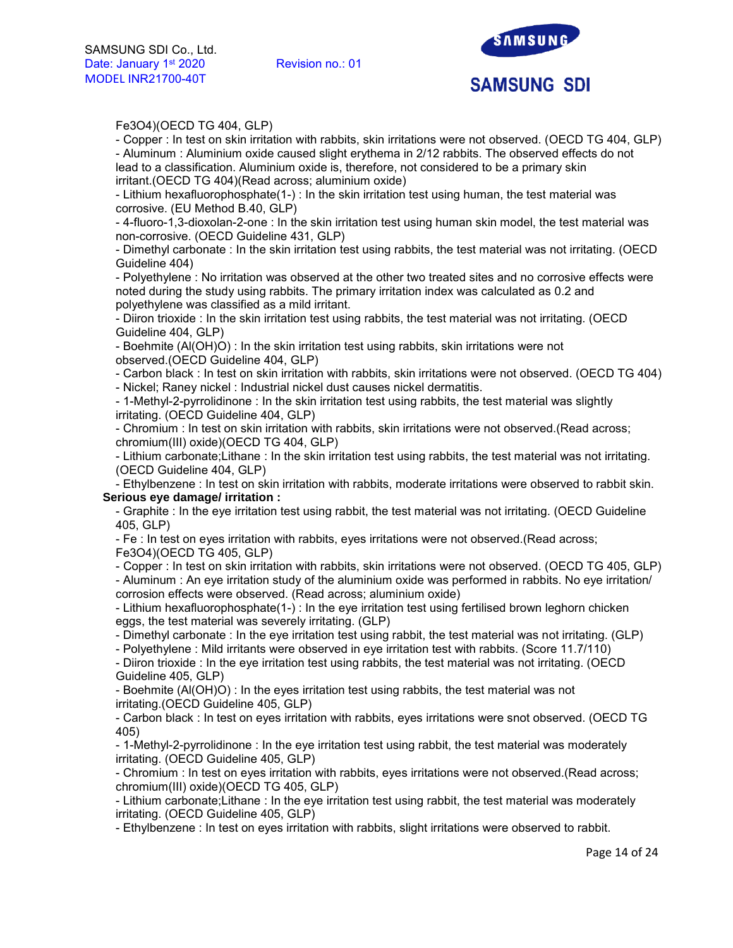

## Fe3O4)(OECD TG 404, GLP)

- Copper : In test on skin irritation with rabbits, skin irritations were not observed. (OECD TG 404, GLP) - Aluminum : Aluminium oxide caused slight erythema in 2/12 rabbits. The observed effects do not

lead to a classification. Aluminium oxide is, therefore, not considered to be a primary skin irritant.(OECD TG 404)(Read across; aluminium oxide)

- Lithium hexafluorophosphate(1-) : In the skin irritation test using human, the test material was corrosive. (EU Method B.40, GLP)

- 4-fluoro-1,3-dioxolan-2-one : In the skin irritation test using human skin model, the test material was non-corrosive. (OECD Guideline 431, GLP)

- Dimethyl carbonate : In the skin irritation test using rabbits, the test material was not irritating. (OECD Guideline 404)

- Polyethylene : No irritation was observed at the other two treated sites and no corrosive effects were noted during the study using rabbits. The primary irritation index was calculated as 0.2 and polyethylene was classified as a mild irritant.

- Diiron trioxide : In the skin irritation test using rabbits, the test material was not irritating. (OECD Guideline 404, GLP)

- Boehmite (Al(OH)O) : In the skin irritation test using rabbits, skin irritations were not observed.(OECD Guideline 404, GLP)

- Carbon black : In test on skin irritation with rabbits, skin irritations were not observed. (OECD TG 404)

- Nickel; Raney nickel : Industrial nickel dust causes nickel dermatitis.

- 1-Methyl-2-pyrrolidinone : In the skin irritation test using rabbits, the test material was slightly irritating. (OECD Guideline 404, GLP)

- Chromium : In test on skin irritation with rabbits, skin irritations were not observed.(Read across; chromium(III) oxide)(OECD TG 404, GLP)

- Lithium carbonate;Lithane : In the skin irritation test using rabbits, the test material was not irritating. (OECD Guideline 404, GLP)

- Ethylbenzene : In test on skin irritation with rabbits, moderate irritations were observed to rabbit skin. **Serious eye damage/ irritation :** 

- Graphite : In the eye irritation test using rabbit, the test material was not irritating. (OECD Guideline 405, GLP)

- Fe : In test on eyes irritation with rabbits, eyes irritations were not observed.(Read across; Fe3O4)(OECD TG 405, GLP)

- Copper : In test on skin irritation with rabbits, skin irritations were not observed. (OECD TG 405, GLP)

- Aluminum : An eye irritation study of the aluminium oxide was performed in rabbits. No eye irritation/ corrosion effects were observed. (Read across; aluminium oxide)

- Lithium hexafluorophosphate(1-) : In the eye irritation test using fertilised brown leghorn chicken eggs, the test material was severely irritating. (GLP)

- Dimethyl carbonate : In the eye irritation test using rabbit, the test material was not irritating. (GLP)

- Polyethylene : Mild irritants were observed in eye irritation test with rabbits. (Score 11.7/110)

- Diiron trioxide : In the eye irritation test using rabbits, the test material was not irritating. (OECD Guideline 405, GLP)

- Boehmite (Al(OH)O) : In the eyes irritation test using rabbits, the test material was not irritating.(OECD Guideline 405, GLP)

- Carbon black : In test on eyes irritation with rabbits, eyes irritations were snot observed. (OECD TG 405)

- 1-Methyl-2-pyrrolidinone : In the eye irritation test using rabbit, the test material was moderately irritating. (OECD Guideline 405, GLP)

- Chromium : In test on eyes irritation with rabbits, eyes irritations were not observed.(Read across; chromium(III) oxide)(OECD TG 405, GLP)

- Lithium carbonate;Lithane : In the eye irritation test using rabbit, the test material was moderately irritating. (OECD Guideline 405, GLP)

- Ethylbenzene : In test on eyes irritation with rabbits, slight irritations were observed to rabbit.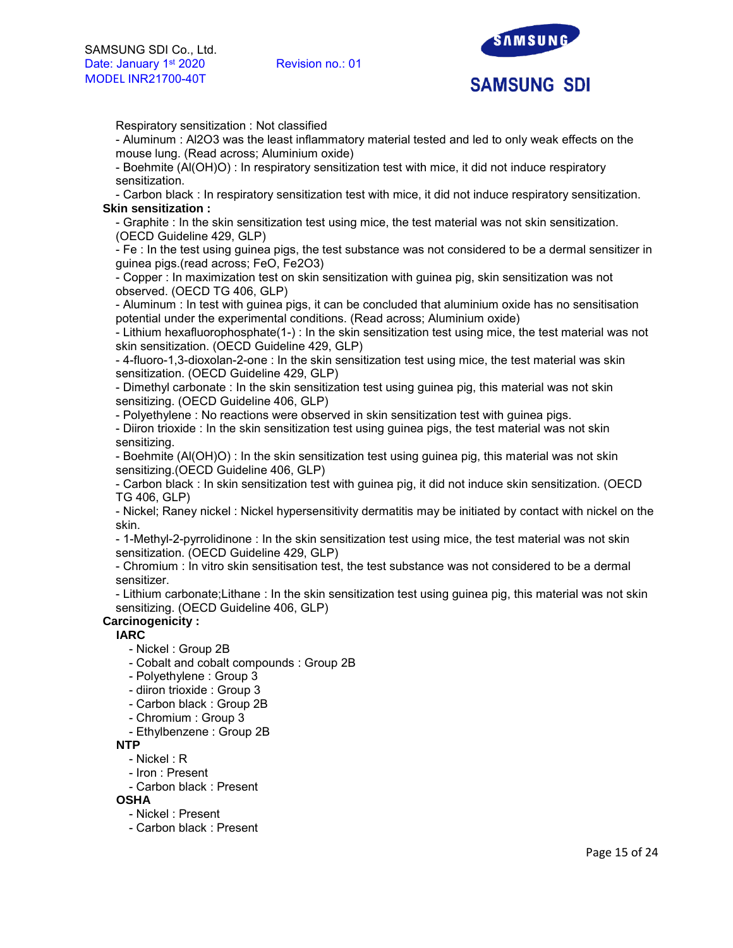

Respiratory sensitization : Not classified

- Aluminum : Al2O3 was the least inflammatory material tested and led to only weak effects on the mouse lung. (Read across; Aluminium oxide)

- Boehmite (Al(OH)O) : In respiratory sensitization test with mice, it did not induce respiratory sensitization.

- Carbon black : In respiratory sensitization test with mice, it did not induce respiratory sensitization. **Skin sensitization :** 

- Graphite : In the skin sensitization test using mice, the test material was not skin sensitization. (OECD Guideline 429, GLP)

- Fe : In the test using guinea pigs, the test substance was not considered to be a dermal sensitizer in guinea pigs.(read across; FeO, Fe2O3)

- Copper : In maximization test on skin sensitization with guinea pig, skin sensitization was not observed. (OECD TG 406, GLP)

- Aluminum : In test with guinea pigs, it can be concluded that aluminium oxide has no sensitisation potential under the experimental conditions. (Read across; Aluminium oxide)

- Lithium hexafluorophosphate(1-) : In the skin sensitization test using mice, the test material was not skin sensitization. (OECD Guideline 429, GLP)

- 4-fluoro-1,3-dioxolan-2-one : In the skin sensitization test using mice, the test material was skin sensitization. (OECD Guideline 429, GLP)

- Dimethyl carbonate : In the skin sensitization test using guinea pig, this material was not skin sensitizing. (OECD Guideline 406, GLP)

- Polyethylene : No reactions were observed in skin sensitization test with guinea pigs.

- Diiron trioxide : In the skin sensitization test using guinea pigs, the test material was not skin sensitizing.

- Boehmite (Al(OH)O) : In the skin sensitization test using guinea pig, this material was not skin sensitizing.(OECD Guideline 406, GLP)

- Carbon black : In skin sensitization test with guinea pig, it did not induce skin sensitization. (OECD TG 406, GLP)

- Nickel; Raney nickel : Nickel hypersensitivity dermatitis may be initiated by contact with nickel on the skin.

- 1-Methyl-2-pyrrolidinone : In the skin sensitization test using mice, the test material was not skin sensitization. (OECD Guideline 429, GLP)

- Chromium : In vitro skin sensitisation test, the test substance was not considered to be a dermal sensitizer.

- Lithium carbonate;Lithane : In the skin sensitization test using guinea pig, this material was not skin sensitizing. (OECD Guideline 406, GLP)

# **Carcinogenicity :**

**IARC**

- Nickel : Group 2B
- Cobalt and cobalt compounds : Group 2B
- Polyethylene : Group 3
- diiron trioxide : Group 3
- Carbon black : Group 2B
- Chromium : Group 3
- Ethylbenzene : Group 2B

## **NTP**

- Nickel : R
- Iron : Present
- Carbon black : Present

**OSHA**

- Nickel : Present
- Carbon black : Present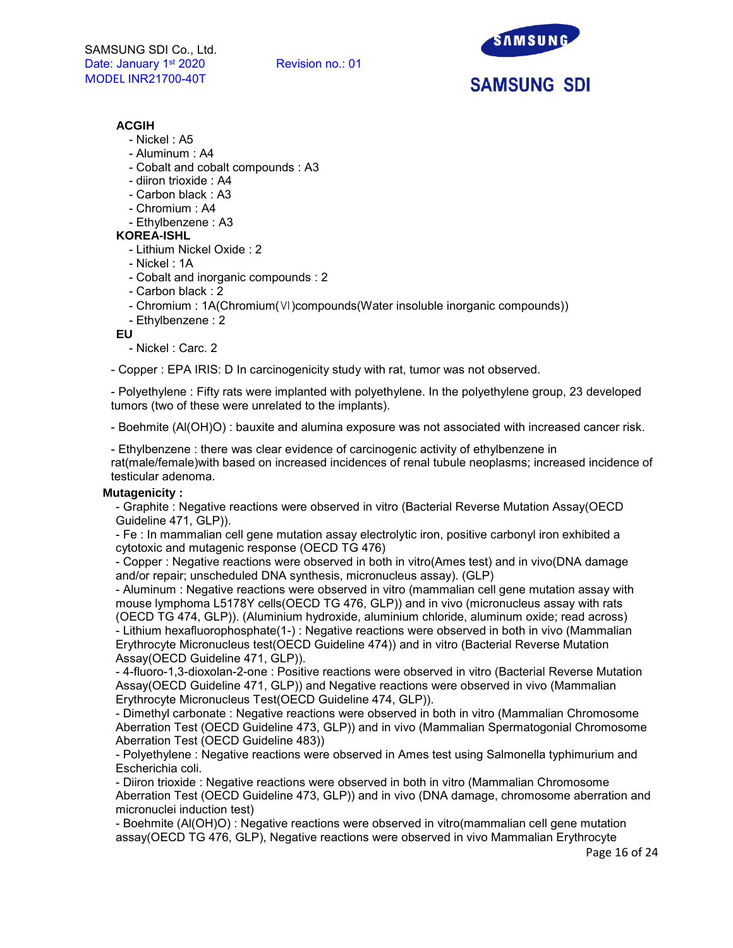

# **ACGIH**

- Nickel : A5
- Aluminum : A4
- Cobalt and cobalt compounds : A3
- diiron trioxide : A4
- Carbon black : A3
- Chromium : A4
- Ethylbenzene : A3

# **KOREA-ISHL**

- Lithium Nickel Oxide : 2
- Nickel : 1A
- Cobalt and inorganic compounds : 2
- Carbon black : 2
- Chromium : 1A(Chromium(Ⅵ)compounds(Water insoluble inorganic compounds))
- Ethylbenzene : 2

**EU**

- Nickel : Carc. 2

- Copper : EPA IRIS: D In carcinogenicity study with rat, tumor was not observed.

- Polyethylene : Fifty rats were implanted with polyethylene. In the polyethylene group, 23 developed tumors (two of these were unrelated to the implants).

- Boehmite (Al(OH)O) : bauxite and alumina exposure was not associated with increased cancer risk.

- Ethylbenzene : there was clear evidence of carcinogenic activity of ethylbenzene in rat(male/female)with based on increased incidences of renal tubule neoplasms; increased incidence of testicular adenoma.

## **Mutagenicity :**

- Graphite : Negative reactions were observed in vitro (Bacterial Reverse Mutation Assay(OECD Guideline 471, GLP)).

- Fe : In mammalian cell gene mutation assay electrolytic iron, positive carbonyl iron exhibited a cytotoxic and mutagenic response (OECD TG 476)

- Copper : Negative reactions were observed in both in vitro(Ames test) and in vivo(DNA damage and/or repair; unscheduled DNA synthesis, micronucleus assay). (GLP)

- Aluminum : Negative reactions were observed in vitro (mammalian cell gene mutation assay with mouse lymphoma L5178Y cells(OECD TG 476, GLP)) and in vivo (micronucleus assay with rats (OECD TG 474, GLP)). (Aluminium hydroxide, aluminium chloride, aluminum oxide; read across) - Lithium hexafluorophosphate(1-) : Negative reactions were observed in both in vivo (Mammalian Erythrocyte Micronucleus test(OECD Guideline 474)) and in vitro (Bacterial Reverse Mutation Assay(OECD Guideline 471, GLP)).

- 4-fluoro-1,3-dioxolan-2-one : Positive reactions were observed in vitro (Bacterial Reverse Mutation Assay(OECD Guideline 471, GLP)) and Negative reactions were observed in vivo (Mammalian Erythrocyte Micronucleus Test(OECD Guideline 474, GLP)).

- Dimethyl carbonate : Negative reactions were observed in both in vitro (Mammalian Chromosome Aberration Test (OECD Guideline 473, GLP)) and in vivo (Mammalian Spermatogonial Chromosome Aberration Test (OECD Guideline 483))

- Polyethylene : Negative reactions were observed in Ames test using Salmonella typhimurium and Escherichia coli.

- Diiron trioxide : Negative reactions were observed in both in vitro (Mammalian Chromosome Aberration Test (OECD Guideline 473, GLP)) and in vivo (DNA damage, chromosome aberration and micronuclei induction test)

- Boehmite (Al(OH)O) : Negative reactions were observed in vitro(mammalian cell gene mutation assay(OECD TG 476, GLP), Negative reactions were observed in vivo Mammalian Erythrocyte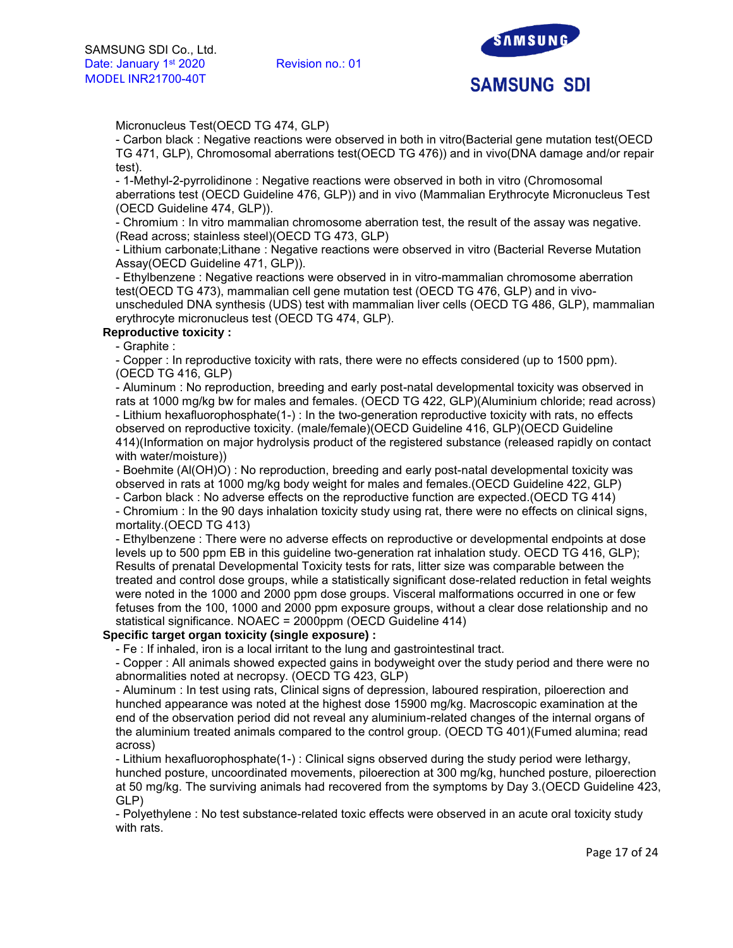

Micronucleus Test(OECD TG 474, GLP)

- Carbon black : Negative reactions were observed in both in vitro(Bacterial gene mutation test(OECD TG 471, GLP), Chromosomal aberrations test(OECD TG 476)) and in vivo(DNA damage and/or repair test).

- 1-Methyl-2-pyrrolidinone : Negative reactions were observed in both in vitro (Chromosomal aberrations test (OECD Guideline 476, GLP)) and in vivo (Mammalian Erythrocyte Micronucleus Test (OECD Guideline 474, GLP)).

- Chromium : In vitro mammalian chromosome aberration test, the result of the assay was negative. (Read across; stainless steel)(OECD TG 473, GLP)

- Lithium carbonate;Lithane : Negative reactions were observed in vitro (Bacterial Reverse Mutation Assay(OECD Guideline 471, GLP)).

- Ethylbenzene : Negative reactions were observed in in vitro-mammalian chromosome aberration test(OECD TG 473), mammalian cell gene mutation test (OECD TG 476, GLP) and in vivo-

unscheduled DNA synthesis (UDS) test with mammalian liver cells (OECD TG 486, GLP), mammalian erythrocyte micronucleus test (OECD TG 474, GLP).

## **Reproductive toxicity :**

- Graphite :

- Copper : In reproductive toxicity with rats, there were no effects considered (up to 1500 ppm). (OECD TG 416, GLP)

- Aluminum : No reproduction, breeding and early post-natal developmental toxicity was observed in rats at 1000 mg/kg bw for males and females. (OECD TG 422, GLP)(Aluminium chloride; read across) - Lithium hexafluorophosphate(1-) : In the two-generation reproductive toxicity with rats, no effects observed on reproductive toxicity. (male/female)(OECD Guideline 416, GLP)(OECD Guideline 414)(Information on major hydrolysis product of the registered substance (released rapidly on contact with water/moisture))

- Boehmite (Al(OH)O) : No reproduction, breeding and early post-natal developmental toxicity was observed in rats at 1000 mg/kg body weight for males and females.(OECD Guideline 422, GLP)

- Carbon black : No adverse effects on the reproductive function are expected.(OECD TG 414)

- Chromium : In the 90 days inhalation toxicity study using rat, there were no effects on clinical signs, mortality.(OECD TG 413)

- Ethylbenzene : There were no adverse effects on reproductive or developmental endpoints at dose levels up to 500 ppm EB in this guideline two-generation rat inhalation study. OECD TG 416, GLP); Results of prenatal Developmental Toxicity tests for rats, litter size was comparable between the treated and control dose groups, while a statistically significant dose-related reduction in fetal weights were noted in the 1000 and 2000 ppm dose groups. Visceral malformations occurred in one or few fetuses from the 100, 1000 and 2000 ppm exposure groups, without a clear dose relationship and no statistical significance. NOAEC = 2000ppm (OECD Guideline 414)

## **Specific target organ toxicity (single exposure) :**

- Fe : If inhaled, iron is a local irritant to the lung and gastrointestinal tract.

- Copper : All animals showed expected gains in bodyweight over the study period and there were no abnormalities noted at necropsy. (OECD TG 423, GLP)

- Aluminum : In test using rats, Clinical signs of depression, laboured respiration, piloerection and hunched appearance was noted at the highest dose 15900 mg/kg. Macroscopic examination at the end of the observation period did not reveal any aluminium-related changes of the internal organs of the aluminium treated animals compared to the control group. (OECD TG 401)(Fumed alumina; read across)

- Lithium hexafluorophosphate(1-) : Clinical signs observed during the study period were lethargy, hunched posture, uncoordinated movements, piloerection at 300 mg/kg, hunched posture, piloerection at 50 mg/kg. The surviving animals had recovered from the symptoms by Day 3.(OECD Guideline 423, GLP)

- Polyethylene : No test substance-related toxic effects were observed in an acute oral toxicity study with rats.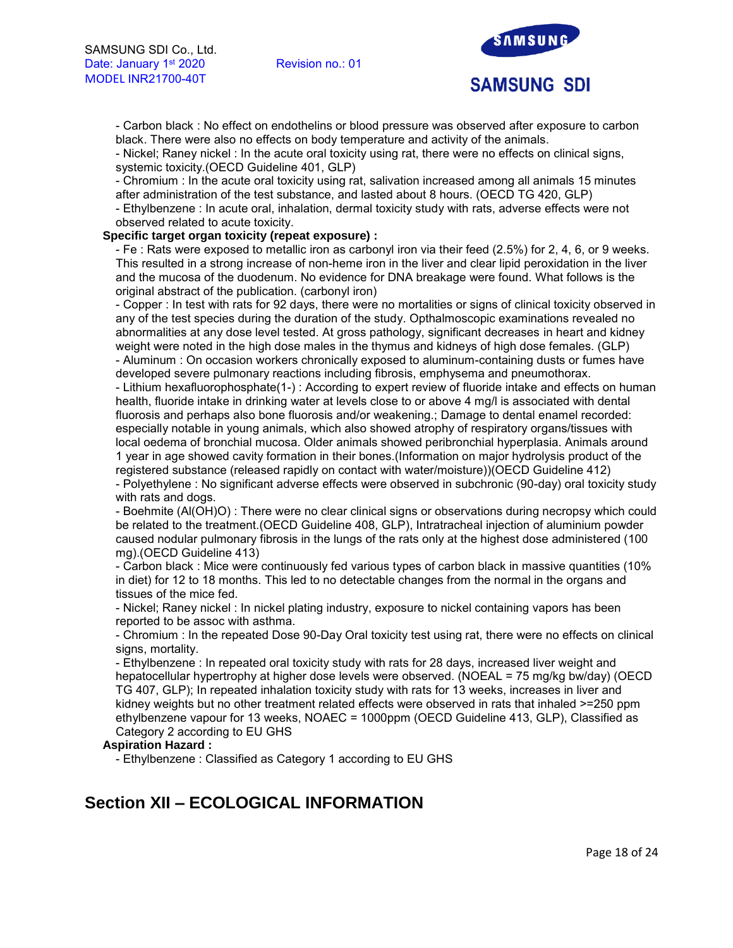

- Carbon black : No effect on endothelins or blood pressure was observed after exposure to carbon black. There were also no effects on body temperature and activity of the animals.

- Nickel; Raney nickel : In the acute oral toxicity using rat, there were no effects on clinical signs, systemic toxicity.(OECD Guideline 401, GLP)

- Chromium : In the acute oral toxicity using rat, salivation increased among all animals 15 minutes after administration of the test substance, and lasted about 8 hours. (OECD TG 420, GLP)

- Ethylbenzene : In acute oral, inhalation, dermal toxicity study with rats, adverse effects were not observed related to acute toxicity.

## **Specific target organ toxicity (repeat exposure) :**

- Fe : Rats were exposed to metallic iron as carbonyl iron via their feed (2.5%) for 2, 4, 6, or 9 weeks. This resulted in a strong increase of non-heme iron in the liver and clear lipid peroxidation in the liver and the mucosa of the duodenum. No evidence for DNA breakage were found. What follows is the original abstract of the publication. (carbonyl iron)

- Copper : In test with rats for 92 days, there were no mortalities or signs of clinical toxicity observed in any of the test species during the duration of the study. Opthalmoscopic examinations revealed no abnormalities at any dose level tested. At gross pathology, significant decreases in heart and kidney weight were noted in the high dose males in the thymus and kidneys of high dose females. (GLP) - Aluminum : On occasion workers chronically exposed to aluminum-containing dusts or fumes have developed severe pulmonary reactions including fibrosis, emphysema and pneumothorax.

- Lithium hexafluorophosphate(1-) : According to expert review of fluoride intake and effects on human health, fluoride intake in drinking water at levels close to or above 4 mg/l is associated with dental fluorosis and perhaps also bone fluorosis and/or weakening.; Damage to dental enamel recorded: especially notable in young animals, which also showed atrophy of respiratory organs/tissues with local oedema of bronchial mucosa. Older animals showed peribronchial hyperplasia. Animals around 1 year in age showed cavity formation in their bones.(Information on major hydrolysis product of the registered substance (released rapidly on contact with water/moisture))(OECD Guideline 412)

- Polyethylene : No significant adverse effects were observed in subchronic (90-day) oral toxicity study with rats and dogs.

- Boehmite (Al(OH)O) : There were no clear clinical signs or observations during necropsy which could be related to the treatment.(OECD Guideline 408, GLP), Intratracheal injection of aluminium powder caused nodular pulmonary fibrosis in the lungs of the rats only at the highest dose administered (100 mg).(OECD Guideline 413)

- Carbon black : Mice were continuously fed various types of carbon black in massive quantities (10% in diet) for 12 to 18 months. This led to no detectable changes from the normal in the organs and tissues of the mice fed.

- Nickel; Raney nickel : In nickel plating industry, exposure to nickel containing vapors has been reported to be assoc with asthma.

- Chromium : In the repeated Dose 90-Day Oral toxicity test using rat, there were no effects on clinical signs, mortality.

- Ethylbenzene : In repeated oral toxicity study with rats for 28 days, increased liver weight and hepatocellular hypertrophy at higher dose levels were observed. (NOEAL = 75 mg/kg bw/day) (OECD TG 407, GLP); In repeated inhalation toxicity study with rats for 13 weeks, increases in liver and kidney weights but no other treatment related effects were observed in rats that inhaled >=250 ppm ethylbenzene vapour for 13 weeks, NOAEC = 1000ppm (OECD Guideline 413, GLP), Classified as Category 2 according to EU GHS

## **Aspiration Hazard :**

- Ethylbenzene : Classified as Category 1 according to EU GHS

# **Section XII – ECOLOGICAL INFORMATION**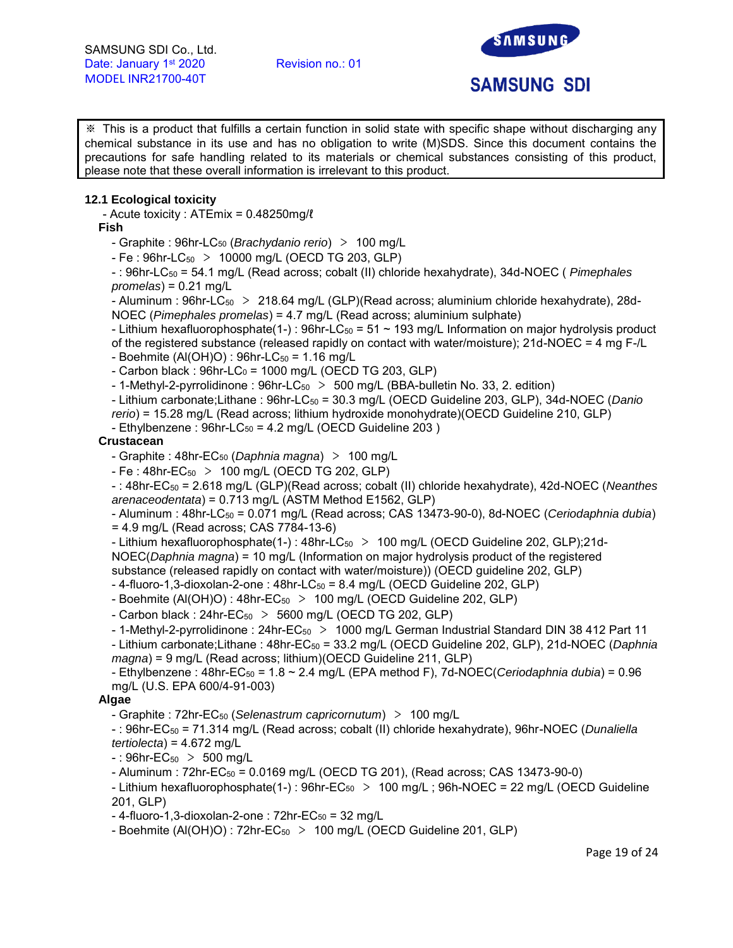

※ This is a product that fulfills a certain function in solid state with specific shape without discharging any chemical substance in its use and has no obligation to write (M)SDS. Since this document contains the precautions for safe handling related to its materials or chemical substances consisting of this product, please note that these overall information is irrelevant to this product.

## **12.1 Ecological toxicity**

- Acute toxicity : ATEmix = 0.48250mg/ℓ

## **Fish**

- Graphite : 96hr-LC<sup>50</sup> (*Brachydanio rerio*) > 100 mg/L

 $- Fe : 96$ hr-LC $_{50} > 10000$  mg/L (OECD TG 203, GLP)

- : 96hr-LC<sub>50</sub> = 54.1 mg/L (Read across; cobalt (II) chloride hexahydrate), 34d-NOEC ( *Pimephales promelas*) = 0.21 mg/L

- Aluminum : 96hr-LC<sub>50</sub> > 218.64 mg/L (GLP)(Read across; aluminium chloride hexahydrate), 28d-NOEC (*Pimephales promelas*) = 4.7 mg/L (Read across; aluminium sulphate)

- Lithium hexafluorophosphate(1-) : 96hr-LC $_{50}$  = 51 ~ 193 mg/L Information on major hydrolysis product

of the registered substance (released rapidly on contact with water/moisture); 21d-NOEC = 4 mg F-/L

 $-$  Boehmite (Al(OH)O) : 96hr-LC $_{50}$  = 1.16 mg/L

- Carbon black :  $96hr$ -LC<sub>0</sub> = 1000 mg/L (OECD TG 203, GLP)

 $-$  1-Methyl-2-pyrrolidinone : 96hr-LC<sub>50</sub>  $>$  500 mg/L (BBA-bulletin No. 33, 2. edition)

- Lithium carbonate;Lithane : 96hr-LC<sub>50</sub> = 30.3 mg/L (OECD Guideline 203, GLP), 34d-NOEC (*Danio* 

*rerio*) = 15.28 mg/L (Read across; lithium hydroxide monohydrate)(OECD Guideline 210, GLP)

 $-$  Ethylbenzene : 96hr-LC $_{50}$  = 4.2 mg/L (OECD Guideline 203)

## **Crustacean**

- Graphite : 48hr-EC<sup>50</sup> (*Daphnia magna*) > 100 mg/L

 $- Fe : 48$ hr $- E C_{50} > 100$  mg/L (OECD TG 202, GLP)

- : 48hr-EC<sup>50</sup> = 2.618 mg/L (GLP)(Read across; cobalt (II) chloride hexahydrate), 42d-NOEC (*Neanthes arenaceodentata*) = 0.713 mg/L (ASTM Method E1562, GLP)

- Aluminum : 48hr-LC<sub>50</sub> = 0.071 mg/L (Read across; CAS 13473-90-0), 8d-NOEC (*Ceriodaphnia dubia*) = 4.9 mg/L (Read across; CAS 7784-13-6)

- Lithium hexafluorophosphate(1-): 48hr-LC<sub>50</sub> > 100 mg/L (OECD Guideline 202, GLP);21d-NOEC(*Daphnia magna*) = 10 mg/L (Information on major hydrolysis product of the registered substance (released rapidly on contact with water/moisture)) (OECD guideline 202, GLP)

 $-4$ -fluoro-1,3-dioxolan-2-one :  $48$ hr-LC $_{50}$  = 8.4 mg/L (OECD Guideline 202, GLP)

- Boehmite (Al(OH)O) : 48hr-EC<sub>50</sub> > 100 mg/L (OECD Guideline 202, GLP)

- Carbon black :  $24$ hr-EC<sub>50</sub> > 5600 mg/L (OECD TG 202, GLP)

- 1-Methyl-2-pyrrolidinone : 24hr- $EC_{50}$  > 1000 mg/L German Industrial Standard DIN 38 412 Part 11

- Lithium carbonate;Lithane : 48hr-EC<sup>50</sup> = 33.2 mg/L (OECD Guideline 202, GLP), 21d-NOEC (*Daphnia magna*) = 9 mg/L (Read across; lithium)(OECD Guideline 211, GLP)

- Ethylbenzene : 48hr-EC<sup>50</sup> = 1.8 ~ 2.4 mg/L (EPA method F), 7d-NOEC(*Ceriodaphnia dubia*) = 0.96 mg/L (U.S. EPA 600/4-91-003)

## **Algae**

- Graphite : 72hr-EC<sup>50</sup> (*Selenastrum capricornutum*) > 100 mg/L

- : 96hr-EC<sup>50</sup> = 71.314 mg/L (Read across; cobalt (II) chloride hexahydrate), 96hr-NOEC (*Dunaliella tertiolecta*) = 4.672 mg/L

 $-$ : 96hr-EC<sub>50</sub> > 500 mg/L

 $-$  Aluminum :  $72$ hr-EC $_{50}$  = 0.0169 mg/L (OECD TG 201), (Read across; CAS 13473-90-0)

- Lithium hexafluorophosphate(1-):  $96$ hr-EC<sub>50</sub> > 100 mg/L;  $96$ h-NOEC = 22 mg/L (OECD Guideline 201, GLP)

 $-$  4-fluoro-1,3-dioxolan-2-one : 72hr-EC $_{50}$  = 32 mg/L

- Boehmite (Al(OH)O) :  $72hr$ -EC<sub>50</sub> > 100 mg/L (OECD Guideline 201, GLP)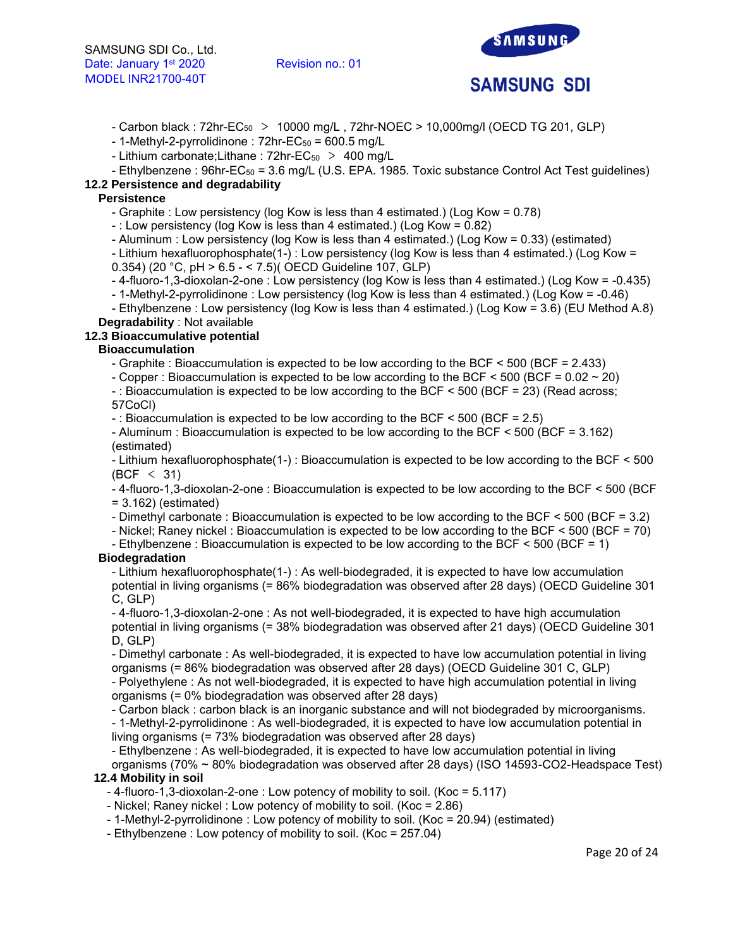

- Carbon black : 72hr-EC<sup>50</sup> > 10000 mg/L , 72hr-NOEC > 10,000mg/l (OECD TG 201, GLP)

 $-$  1-Methyl-2-pyrrolidinone : 72hr-EC<sub>50</sub> = 600.5 mg/L

- Lithium carbonate; Lithane :  $72hr$ -EC<sub>50</sub> > 400 mg/L

- Ethylbenzene : 96hr-EC<sub>50</sub> = 3.6 mg/L (U.S. EPA. 1985. Toxic substance Control Act Test guidelines)

# **12.2 Persistence and degradability**

## **Persistence**

- Graphite : Low persistency (log Kow is less than 4 estimated.) (Log Kow = 0.78)

- : Low persistency (log Kow is less than 4 estimated.) (Log Kow = 0.82)

- Aluminum : Low persistency (log Kow is less than 4 estimated.) (Log Kow = 0.33) (estimated)

- Lithium hexafluorophosphate(1-) : Low persistency (log Kow is less than 4 estimated.) (Log Kow = 0.354) (20 °C, pH > 6.5 - < 7.5)( OECD Guideline 107, GLP)

- 4-fluoro-1,3-dioxolan-2-one : Low persistency (log Kow is less than 4 estimated.) (Log Kow = -0.435)

- 1-Methyl-2-pyrrolidinone : Low persistency (log Kow is less than 4 estimated.) (Log Kow = -0.46)

- Ethylbenzene : Low persistency (log Kow is less than 4 estimated.) (Log Kow = 3.6) (EU Method A.8) **Degradability** : Not available

## **12.3 Bioaccumulative potential**

# **Bioaccumulation**

- Graphite : Bioaccumulation is expected to be low according to the BCF < 500 (BCF = 2.433)

- Copper : Bioaccumulation is expected to be low according to the BCF < 500 (BCF = 0.02 ~ 20)

- : Bioaccumulation is expected to be low according to the BCF < 500 (BCF = 23) (Read across; 57CoCl)

 $-$ : Bioaccumulation is expected to be low according to the BCF  $\leq$  500 (BCF = 2.5)

- Aluminum : Bioaccumulation is expected to be low according to the BCF < 500 (BCF = 3.162) (estimated)

- Lithium hexafluorophosphate(1-) : Bioaccumulation is expected to be low according to the BCF < 500 (BCF < 31)

- 4-fluoro-1,3-dioxolan-2-one : Bioaccumulation is expected to be low according to the BCF < 500 (BCF  $= 3.162$ ) (estimated)

- Dimethyl carbonate : Bioaccumulation is expected to be low according to the BCF < 500 (BCF = 3.2)

- Nickel; Raney nickel : Bioaccumulation is expected to be low according to the BCF < 500 (BCF = 70)

- Ethylbenzene : Bioaccumulation is expected to be low according to the BCF < 500 (BCF = 1)

# **Biodegradation**

- Lithium hexafluorophosphate(1-) : As well-biodegraded, it is expected to have low accumulation potential in living organisms (= 86% biodegradation was observed after 28 days) (OECD Guideline 301 C, GLP)

- 4-fluoro-1,3-dioxolan-2-one : As not well-biodegraded, it is expected to have high accumulation potential in living organisms (= 38% biodegradation was observed after 21 days) (OECD Guideline 301 D, GLP)

- Dimethyl carbonate : As well-biodegraded, it is expected to have low accumulation potential in living organisms (= 86% biodegradation was observed after 28 days) (OECD Guideline 301 C, GLP)

- Polyethylene : As not well-biodegraded, it is expected to have high accumulation potential in living organisms (= 0% biodegradation was observed after 28 days)

- Carbon black : carbon black is an inorganic substance and will not biodegraded by microorganisms.

- 1-Methyl-2-pyrrolidinone : As well-biodegraded, it is expected to have low accumulation potential in living organisms (= 73% biodegradation was observed after 28 days)

- Ethylbenzene : As well-biodegraded, it is expected to have low accumulation potential in living

organisms (70% ~ 80% biodegradation was observed after 28 days) (ISO 14593-CO2-Headspace Test) **12.4 Mobility in soil** 

## - 4-fluoro-1,3-dioxolan-2-one : Low potency of mobility to soil. (Koc = 5.117)

- Nickel; Raney nickel : Low potency of mobility to soil. (Koc = 2.86)
- 1-Methyl-2-pyrrolidinone : Low potency of mobility to soil. (Koc = 20.94) (estimated)

- Ethylbenzene : Low potency of mobility to soil. (Koc = 257.04)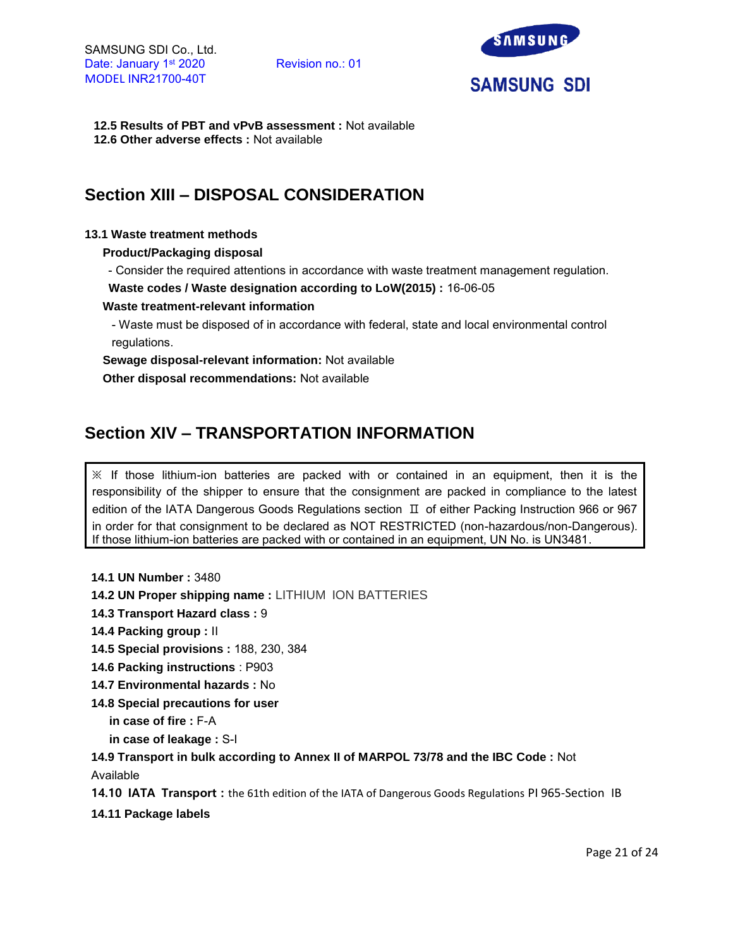

**12.5 Results of PBT and vPvB assessment :** Not available **12.6 Other adverse effects :** Not available

# **Section XIII – DISPOSAL CONSIDERATION**

## **13.1 Waste treatment methods**

**Product/Packaging disposal**

- Consider the required attentions in accordance with waste treatment management regulation.

**Waste codes / Waste designation according to LoW(2015) :** 16-06-05

## **Waste treatment-relevant information**

- Waste must be disposed of in accordance with federal, state and local environmental control regulations.

**Sewage disposal-relevant information:** Not available

**Other disposal recommendations:** Not available

# **Section XIV – TRANSPORTATION INFORMATION**

 $\mathbb X$  If those lithium-ion batteries are packed with or contained in an equipment, then it is the responsibility of the shipper to ensure that the consignment are packed in compliance to the latest edition of the IATA Dangerous Goods Regulations section Ⅱ of either Packing Instruction 966 or 967 in order for that consignment to be declared as NOT RESTRICTED (non-hazardous/non-Dangerous). If those lithium-ion batteries are packed with or contained in an equipment, UN No. is UN3481.

```
14.1 UN Number : 3480
```
**14.2 UN Proper shipping name :** LITHIUM ION BATTERIES

**14.3 Transport Hazard class :** 9

**14.4 Packing group :** II

**14.5 Special provisions :** 188, 230, 384

- **14.6 Packing instructions** : P903
- **14.7 Environmental hazards :** No
- **14.8 Special precautions for user**

**in case of fire :** F-A

**in case of leakage :** S-I

**14.9 Transport in bulk according to Annex II of MARPOL 73/78 and the IBC Code :** Not Available

**14.10 IATA Transport :** the 61th edition of the IATA of Dangerous Goods Regulations PI 965-Section IB

**14.11 Package labels**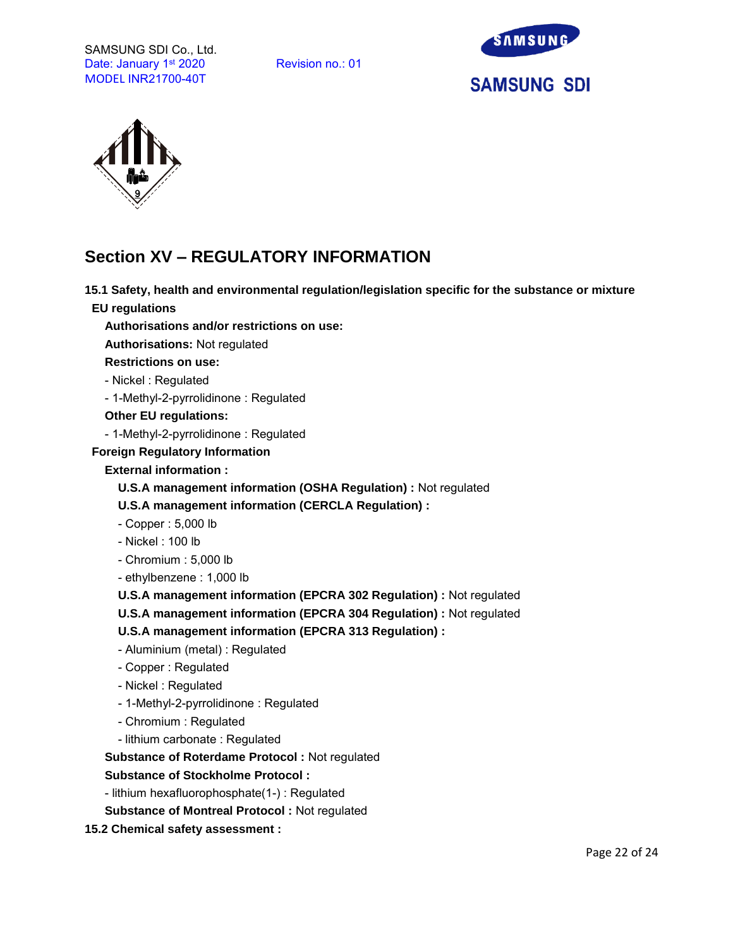



# **Section XV – REGULATORY INFORMATION**

**15.1 Safety, health and environmental regulation/legislation specific for the substance or mixture**

**EU regulations**

**Authorisations and/or restrictions on use:**

**Authorisations:** Not regulated

**Restrictions on use:**

- Nickel : Regulated

- 1-Methyl-2-pyrrolidinone : Regulated

**Other EU regulations:**

- 1-Methyl-2-pyrrolidinone : Regulated

**Foreign Regulatory Information**

**External information :** 

**U.S.A management information (OSHA Regulation) :** Not regulated

**U.S.A management information (CERCLA Regulation) :**

- Copper : 5,000 lb

- Nickel : 100 lb
- Chromium : 5,000 lb
- ethylbenzene : 1,000 lb

**U.S.A management information (EPCRA 302 Regulation) :** Not regulated

**U.S.A management information (EPCRA 304 Regulation) :** Not regulated

**U.S.A management information (EPCRA 313 Regulation) :**

- Aluminium (metal) : Regulated
- Copper : Regulated
- Nickel : Regulated
- 1-Methyl-2-pyrrolidinone : Regulated
- Chromium : Regulated
- lithium carbonate : Regulated

**Substance of Roterdame Protocol :** Not regulated

# **Substance of Stockholme Protocol :**

- lithium hexafluorophosphate(1-) : Regulated

**Substance of Montreal Protocol :** Not regulated

**15.2 Chemical safety assessment :**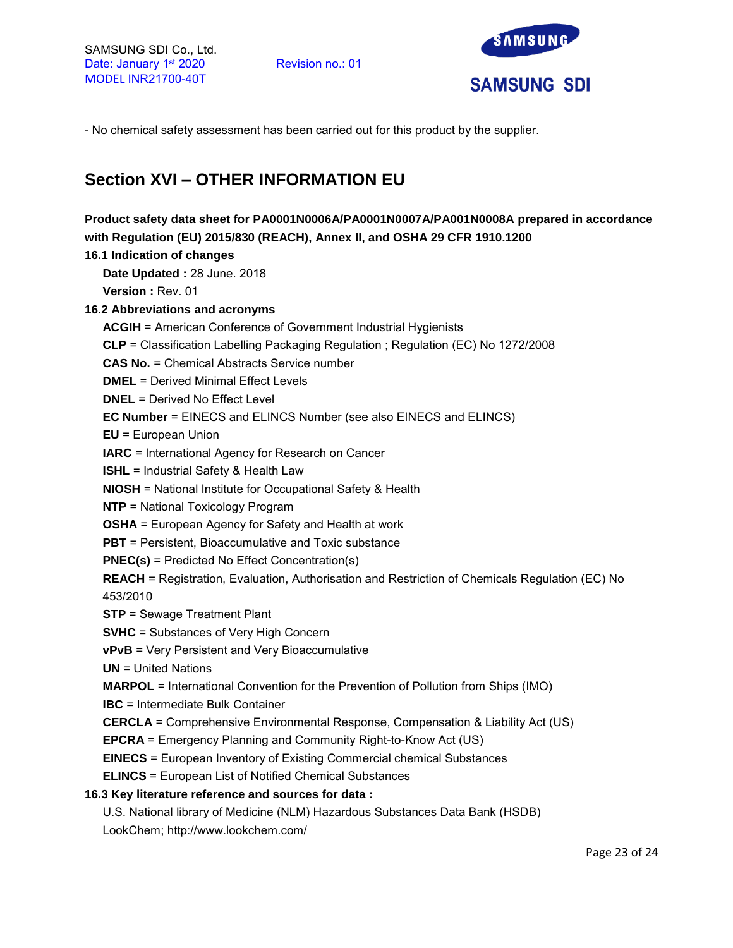

- No chemical safety assessment has been carried out for this product by the supplier.

# **Section XVI – OTHER INFORMATION EU**

**Product safety data sheet for PA0001N0006A/PA0001N0007A/PA001N0008A prepared in accordance with Regulation (EU) 2015/830 (REACH), Annex II, and OSHA 29 CFR 1910.1200 16.1 Indication of changes Date Updated :** 28 June. 2018 **Version :** Rev. 01 **16.2 Abbreviations and acronyms ACGIH** = American Conference of Government Industrial Hygienists **CLP** = Classification Labelling Packaging Regulation ; Regulation (EC) No 1272/2008 **CAS No.** = Chemical Abstracts Service number **DMEL** = Derived Minimal Effect Levels **DNEL** = Derived No Effect Level **EC Number** = EINECS and ELINCS Number (see also EINECS and ELINCS) **EU** = European Union **IARC** = International Agency for Research on Cancer **ISHL** = Industrial Safety & Health Law **NIOSH** = National Institute for Occupational Safety & Health **NTP** = National Toxicology Program **OSHA** = European Agency for Safety and Health at work **PBT** = Persistent, Bioaccumulative and Toxic substance **PNEC(s)** = Predicted No Effect Concentration(s) **REACH** = Registration, Evaluation, Authorisation and Restriction of Chemicals Regulation (EC) No 453/2010 **STP** = Sewage Treatment Plant **SVHC** = Substances of Very High Concern **vPvB** = Very Persistent and Very Bioaccumulative **UN** = United Nations **MARPOL** = International Convention for the Prevention of Pollution from Ships (IMO) **IBC** = Intermediate Bulk Container **CERCLA** = Comprehensive Environmental Response, Compensation & Liability Act (US) **EPCRA** = Emergency Planning and Community Right-to-Know Act (US) **EINECS** = European Inventory of Existing Commercial chemical Substances **ELINCS** = European List of Notified Chemical Substances **16.3 Key literature reference and sources for data :** U.S. National library of Medicine (NLM) Hazardous Substances Data Bank (HSDB) LookChem; http://www.lookchem.com/